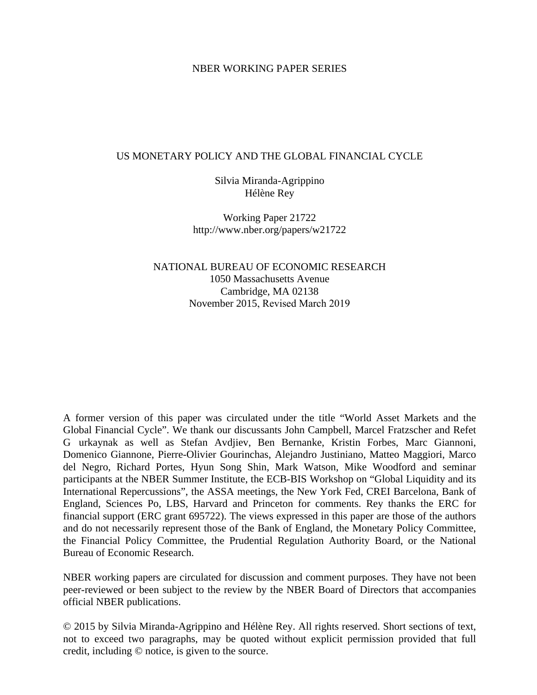#### NBER WORKING PAPER SERIES

#### US MONETARY POLICY AND THE GLOBAL FINANCIAL CYCLE

Silvia Miranda-Agrippino Hélène Rey

Working Paper 21722 http://www.nber.org/papers/w21722

NATIONAL BUREAU OF ECONOMIC RESEARCH 1050 Massachusetts Avenue Cambridge, MA 02138 November 2015, Revised March 2019

A former version of this paper was circulated under the title "World Asset Markets and the Global Financial Cycle". We thank our discussants John Campbell, Marcel Fratzscher and Refet G urkaynak as well as Stefan Avdjiev, Ben Bernanke, Kristin Forbes, Marc Giannoni, Domenico Giannone, Pierre-Olivier Gourinchas, Alejandro Justiniano, Matteo Maggiori, Marco del Negro, Richard Portes, Hyun Song Shin, Mark Watson, Mike Woodford and seminar participants at the NBER Summer Institute, the ECB-BIS Workshop on "Global Liquidity and its International Repercussions", the ASSA meetings, the New York Fed, CREI Barcelona, Bank of England, Sciences Po, LBS, Harvard and Princeton for comments. Rey thanks the ERC for financial support (ERC grant 695722). The views expressed in this paper are those of the authors and do not necessarily represent those of the Bank of England, the Monetary Policy Committee, the Financial Policy Committee, the Prudential Regulation Authority Board, or the National Bureau of Economic Research.

NBER working papers are circulated for discussion and comment purposes. They have not been peer-reviewed or been subject to the review by the NBER Board of Directors that accompanies official NBER publications.

© 2015 by Silvia Miranda-Agrippino and Hélène Rey. All rights reserved. Short sections of text, not to exceed two paragraphs, may be quoted without explicit permission provided that full credit, including © notice, is given to the source.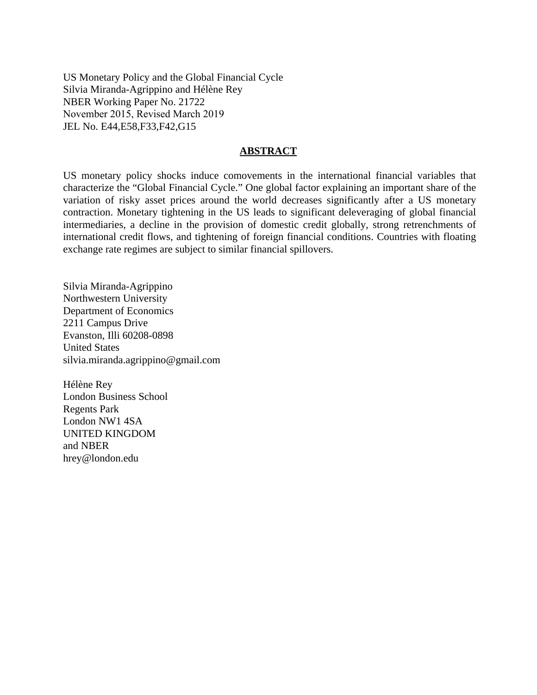US Monetary Policy and the Global Financial Cycle Silvia Miranda-Agrippino and Hélène Rey NBER Working Paper No. 21722 November 2015, Revised March 2019 JEL No. E44,E58,F33,F42,G15

#### **ABSTRACT**

US monetary policy shocks induce comovements in the international financial variables that characterize the "Global Financial Cycle." One global factor explaining an important share of the variation of risky asset prices around the world decreases significantly after a US monetary contraction. Monetary tightening in the US leads to significant deleveraging of global financial intermediaries, a decline in the provision of domestic credit globally, strong retrenchments of international credit flows, and tightening of foreign financial conditions. Countries with floating exchange rate regimes are subject to similar financial spillovers.

Silvia Miranda-Agrippino Northwestern University Department of Economics 2211 Campus Drive Evanston, Illi 60208-0898 United States silvia.miranda.agrippino@gmail.com

Hélène Rey London Business School Regents Park London NW1 4SA UNITED KINGDOM and NBER hrey@london.edu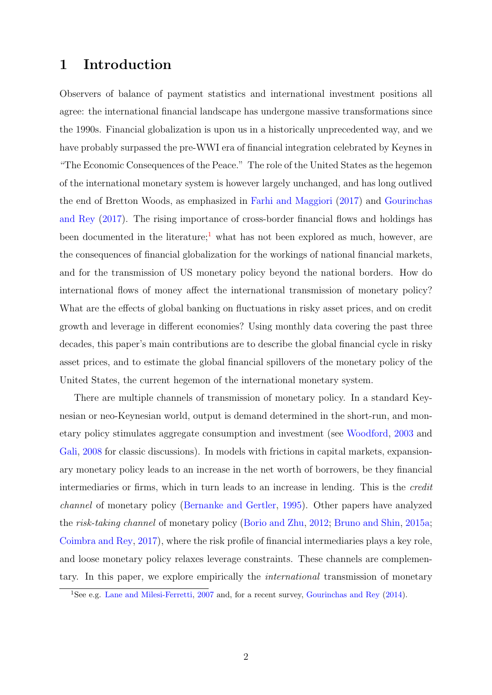## 1 Introduction

Observers of balance of payment statistics and international investment positions all agree: the international financial landscape has undergone massive transformations since the 1990s. Financial globalization is upon us in a historically unprecedented way, and we have probably surpassed the pre-WWI era of financial integration celebrated by Keynes in "The Economic Consequences of the Peace." The role of the United States as the hegemon of the international monetary system is however largely unchanged, and has long outlived the end of Bretton Woods, as emphasized in [Farhi and Maggiori](#page-32-0) [\(2017\)](#page-32-0) and [Gourinchas](#page-33-0) [and Rey](#page-33-0) [\(2017\)](#page-33-0). The rising importance of cross-border financial flows and holdings has been documented in the literature;<sup>[1](#page-2-0)</sup> what has not been explored as much, however, are the consequences of financial globalization for the workings of national financial markets, and for the transmission of US monetary policy beyond the national borders. How do international flows of money affect the international transmission of monetary policy? What are the effects of global banking on fluctuations in risky asset prices, and on credit growth and leverage in different economies? Using monthly data covering the past three decades, this paper's main contributions are to describe the global financial cycle in risky asset prices, and to estimate the global financial spillovers of the monetary policy of the United States, the current hegemon of the international monetary system.

There are multiple channels of transmission of monetary policy. In a standard Keynesian or neo-Keynesian world, output is demand determined in the short-run, and monetary policy stimulates aggregate consumption and investment (see [Woodford,](#page-35-0) [2003](#page-35-0) and [Gali,](#page-32-1) [2008](#page-32-1) for classic discussions). In models with frictions in capital markets, expansionary monetary policy leads to an increase in the net worth of borrowers, be they financial intermediaries or firms, which in turn leads to an increase in lending. This is the credit channel of monetary policy [\(Bernanke and Gertler,](#page-31-0) [1995\)](#page-31-0). Other papers have analyzed the risk-taking channel of monetary policy [\(Borio and Zhu,](#page-31-1) [2012;](#page-31-1) [Bruno and Shin,](#page-31-2) [2015a;](#page-31-2) [Coimbra and Rey,](#page-32-2) [2017\)](#page-32-2), where the risk profile of financial intermediaries plays a key role, and loose monetary policy relaxes leverage constraints. These channels are complementary. In this paper, we explore empirically the international transmission of monetary

<span id="page-2-0"></span><sup>&</sup>lt;sup>1</sup>See e.g. [Lane and Milesi-Ferretti,](#page-34-0) [2007](#page-34-0) and, for a recent survey, [Gourinchas and Rey](#page-33-1) [\(2014\)](#page-33-1).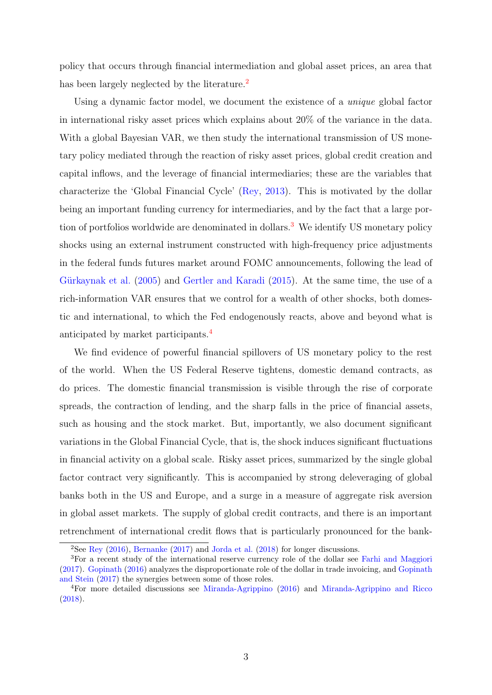policy that occurs through financial intermediation and global asset prices, an area that has been largely neglected by the literature.<sup>[2](#page-3-0)</sup>

Using a dynamic factor model, we document the existence of a unique global factor in international risky asset prices which explains about 20% of the variance in the data. With a global Bayesian VAR, we then study the international transmission of US monetary policy mediated through the reaction of risky asset prices, global credit creation and capital inflows, and the leverage of financial intermediaries; these are the variables that characterize the 'Global Financial Cycle' [\(Rey,](#page-34-1) [2013\)](#page-34-1). This is motivated by the dollar being an important funding currency for intermediaries, and by the fact that a large por-tion of portfolios worldwide are denominated in dollars.<sup>[3](#page-3-1)</sup> We identify US monetary policy shocks using an external instrument constructed with high-frequency price adjustments in the federal funds futures market around FOMC announcements, following the lead of Gürkaynak et al. [\(2005\)](#page-33-2) and [Gertler and Karadi](#page-33-3) [\(2015\)](#page-33-3). At the same time, the use of a rich-information VAR ensures that we control for a wealth of other shocks, both domestic and international, to which the Fed endogenously reacts, above and beyond what is anticipated by market participants.[4](#page-3-2)

We find evidence of powerful financial spillovers of US monetary policy to the rest of the world. When the US Federal Reserve tightens, domestic demand contracts, as do prices. The domestic financial transmission is visible through the rise of corporate spreads, the contraction of lending, and the sharp falls in the price of financial assets, such as housing and the stock market. But, importantly, we also document significant variations in the Global Financial Cycle, that is, the shock induces significant fluctuations in financial activity on a global scale. Risky asset prices, summarized by the single global factor contract very significantly. This is accompanied by strong deleveraging of global banks both in the US and Europe, and a surge in a measure of aggregate risk aversion in global asset markets. The supply of global credit contracts, and there is an important retrenchment of international credit flows that is particularly pronounced for the bank-

<span id="page-3-1"></span><span id="page-3-0"></span><sup>&</sup>lt;sup>2</sup>See [Rey](#page-34-2) [\(2016\)](#page-34-2), [Bernanke](#page-31-3) [\(2017\)](#page-31-3) and [Jorda et al.](#page-33-4) [\(2018\)](#page-33-4) for longer discussions.

<sup>&</sup>lt;sup>3</sup>For a recent study of the international reserve currency role of the dollar see [Farhi and Maggiori](#page-32-0) [\(2017\)](#page-32-0). [Gopinath](#page-33-5) [\(2016\)](#page-33-5) analyzes the disproportionate role of the dollar in trade invoicing, and [Gopinath](#page-33-6) [and Stein](#page-33-6) [\(2017\)](#page-33-6) the synergies between some of those roles.

<span id="page-3-2"></span><sup>4</sup>For more detailed discussions see [Miranda-Agrippino](#page-34-3) [\(2016\)](#page-34-3) and [Miranda-Agrippino and Ricco](#page-34-4) [\(2018\)](#page-34-4).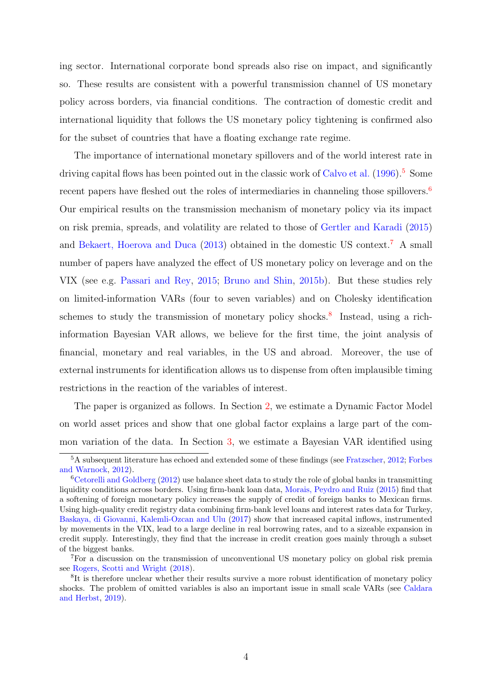ing sector. International corporate bond spreads also rise on impact, and significantly so. These results are consistent with a powerful transmission channel of US monetary policy across borders, via financial conditions. The contraction of domestic credit and international liquidity that follows the US monetary policy tightening is confirmed also for the subset of countries that have a floating exchange rate regime.

The importance of international monetary spillovers and of the world interest rate in driving capital flows has been pointed out in the classic work of [Calvo et al.](#page-31-4)  $(1996)$ <sup>[5](#page-4-0)</sup>. Some recent papers have fleshed out the roles of intermediaries in channeling those spillovers.<sup>[6](#page-4-1)</sup> Our empirical results on the transmission mechanism of monetary policy via its impact on risk premia, spreads, and volatility are related to those of [Gertler and Karadi](#page-33-3) [\(2015\)](#page-33-3) and [Bekaert, Hoerova and Duca](#page-31-5) [\(2013\)](#page-31-5) obtained in the domestic US context.[7](#page-4-2) A small number of papers have analyzed the effect of US monetary policy on leverage and on the VIX (see e.g. [Passari and Rey,](#page-34-5) [2015;](#page-34-5) [Bruno and Shin,](#page-31-6) [2015b\)](#page-31-6). But these studies rely on limited-information VARs (four to seven variables) and on Cholesky identification schemes to study the transmission of monetary policy shocks.<sup>[8](#page-4-3)</sup> Instead, using a richinformation Bayesian VAR allows, we believe for the first time, the joint analysis of financial, monetary and real variables, in the US and abroad. Moreover, the use of external instruments for identification allows us to dispense from often implausible timing restrictions in the reaction of the variables of interest.

The paper is organized as follows. In Section [2,](#page-5-0) we estimate a Dynamic Factor Model on world asset prices and show that one global factor explains a large part of the common variation of the data. In Section [3,](#page-10-0) we estimate a Bayesian VAR identified using

<span id="page-4-0"></span><sup>5</sup>A subsequent literature has echoed and extended some of these findings (see [Fratzscher,](#page-32-3) [2012;](#page-32-3) [Forbes](#page-32-4) [and Warnock,](#page-32-4) [2012\)](#page-32-4).

<span id="page-4-1"></span> $6Cetorelli$  and Goldberg [\(2012\)](#page-32-5) use balance sheet data to study the role of global banks in transmitting liquidity conditions across borders. Using firm-bank loan data, [Morais, Peydro and Ruiz](#page-34-6) [\(2015\)](#page-34-6) find that a softening of foreign monetary policy increases the supply of credit of foreign banks to Mexican firms. Using high-quality credit registry data combining firm-bank level loans and interest rates data for Turkey, [Baskaya, di Giovanni, Kalemli-Ozcan and Ulu](#page-31-7) [\(2017\)](#page-31-7) show that increased capital inflows, instrumented by movements in the VIX, lead to a large decline in real borrowing rates, and to a sizeable expansion in credit supply. Interestingly, they find that the increase in credit creation goes mainly through a subset of the biggest banks.

<span id="page-4-2"></span><sup>7</sup>For a discussion on the transmission of unconventional US monetary policy on global risk premia see [Rogers, Scotti and Wright](#page-35-1) [\(2018\)](#page-35-1).

<span id="page-4-3"></span><sup>&</sup>lt;sup>8</sup>It is therefore unclear whether their results survive a more robust identification of monetary policy shocks. The problem of omitted variables is also an important issue in small scale VARs (see [Caldara](#page-31-8) [and Herbst,](#page-31-8) [2019\)](#page-31-8).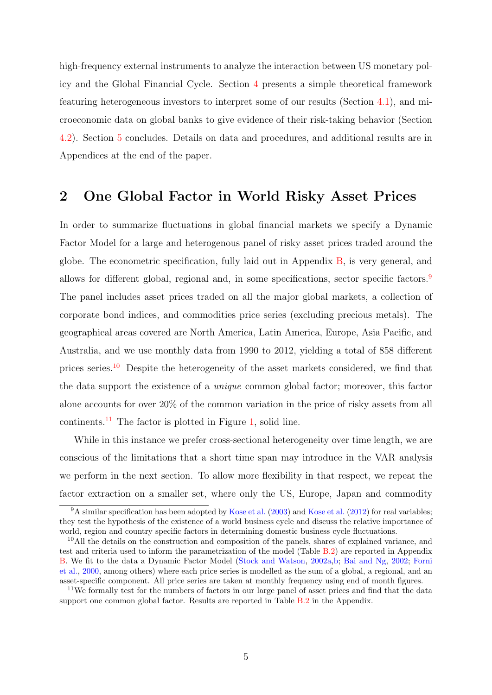high-frequency external instruments to analyze the interaction between US monetary policy and the Global Financial Cycle. Section [4](#page-24-0) presents a simple theoretical framework featuring heterogeneous investors to interpret some of our results (Section [4.1\)](#page-24-1), and microeconomic data on global banks to give evidence of their risk-taking behavior (Section [4.2\)](#page-28-0). Section [5](#page-29-0) concludes. Details on data and procedures, and additional results are in Appendices at the end of the paper.

# <span id="page-5-0"></span>2 One Global Factor in World Risky Asset Prices

In order to summarize fluctuations in global financial markets we specify a Dynamic Factor Model for a large and heterogenous panel of risky asset prices traded around the globe. The econometric specification, fully laid out in Appendix [B,](#page-45-0) is very general, and allows for different global, regional and, in some specifications, sector specific factors.<sup>[9](#page-5-1)</sup> The panel includes asset prices traded on all the major global markets, a collection of corporate bond indices, and commodities price series (excluding precious metals). The geographical areas covered are North America, Latin America, Europe, Asia Pacific, and Australia, and we use monthly data from 1990 to 2012, yielding a total of 858 different prices series.[10](#page-5-2) Despite the heterogeneity of the asset markets considered, we find that the data support the existence of a unique common global factor; moreover, this factor alone accounts for over 20% of the common variation in the price of risky assets from all continents.<sup>[11](#page-5-3)</sup> The factor is plotted in Figure [1,](#page-6-0) solid line.

While in this instance we prefer cross-sectional heterogeneity over time length, we are conscious of the limitations that a short time span may introduce in the VAR analysis we perform in the next section. To allow more flexibility in that respect, we repeat the factor extraction on a smaller set, where only the US, Europe, Japan and commodity

<span id="page-5-1"></span><sup>&</sup>lt;sup>9</sup>A similar specification has been adopted by [Kose et al.](#page-33-8) [\(2003\)](#page-33-7) and Kose et al. [\(2012\)](#page-33-8) for real variables; they test the hypothesis of the existence of a world business cycle and discuss the relative importance of world, region and country specific factors in determining domestic business cycle fluctuations.

<span id="page-5-2"></span><sup>10</sup>All the details on the construction and composition of the panels, shares of explained variance, and test and criteria used to inform the parametrization of the model (Table [B.2\)](#page-48-0) are reported in Appendix [B.](#page-45-0) We fit to the data a Dynamic Factor Model [\(Stock and Watson,](#page-35-2) [2002a,](#page-35-2)[b;](#page-35-3) [Bai and Ng,](#page-31-9) [2002;](#page-31-9) [Forni](#page-32-6) [et al.,](#page-32-6) [2000,](#page-32-6) among others) where each price series is modelled as the sum of a global, a regional, and an asset-specific component. All price series are taken at monthly frequency using end of month figures.

<span id="page-5-3"></span><sup>&</sup>lt;sup>11</sup>We formally test for the numbers of factors in our large panel of asset prices and find that the data support one common global factor. Results are reported in Table [B.2](#page-48-0) in the Appendix.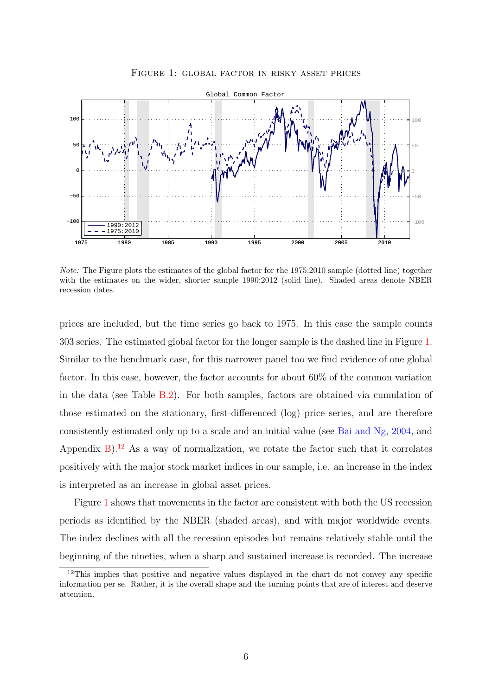<span id="page-6-0"></span>

Figure 1: global factor in risky asset prices

Note: The Figure plots the estimates of the global factor for the 1975:2010 sample (dotted line) together with the estimates on the wider, shorter sample 1990:2012 (solid line). Shaded areas denote NBER recession dates.

prices are included, but the time series go back to 1975. In this case the sample counts 303 series. The estimated global factor for the longer sample is the dashed line in Figure [1.](#page-6-0) Similar to the benchmark case, for this narrower panel too we find evidence of one global factor. In this case, however, the factor accounts for about 60% of the common variation in the data (see Table [B.2\)](#page-48-0). For both samples, factors are obtained via cumulation of those estimated on the stationary, first-differenced (log) price series, and are therefore consistently estimated only up to a scale and an initial value (see [Bai and Ng,](#page-31-10) [2004,](#page-31-10) and Appendix  $B$ ).<sup>[12](#page-6-1)</sup> As a way of normalization, we rotate the factor such that it correlates positively with the major stock market indices in our sample, i.e. an increase in the index is interpreted as an increase in global asset prices.

Figure [1](#page-6-0) shows that movements in the factor are consistent with both the US recession periods as identified by the NBER (shaded areas), and with major worldwide events. The index declines with all the recession episodes but remains relatively stable until the beginning of the nineties, when a sharp and sustained increase is recorded. The increase

<span id="page-6-1"></span><sup>&</sup>lt;sup>12</sup>This implies that positive and negative values displayed in the chart do not convey any specific information per se. Rather, it is the overall shape and the turning points that are of interest and deserve attention.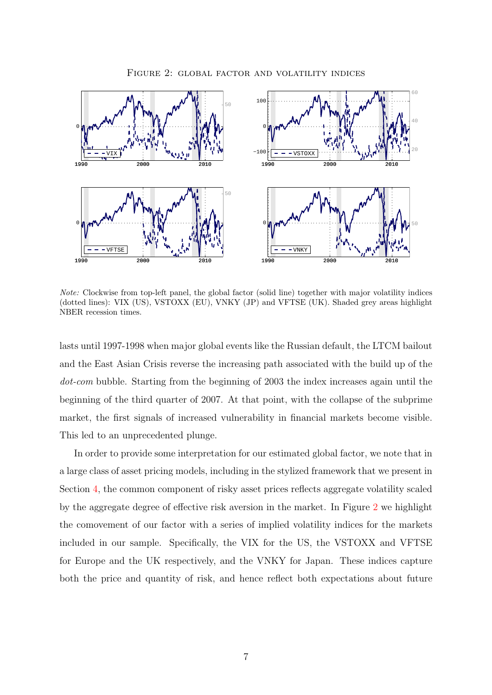<span id="page-7-0"></span>

Figure 2: global factor and volatility indices

Note: Clockwise from top-left panel, the global factor (solid line) together with major volatility indices (dotted lines): VIX (US), VSTOXX (EU), VNKY (JP) and VFTSE (UK). Shaded grey areas highlight NBER recession times.

lasts until 1997-1998 when major global events like the Russian default, the LTCM bailout and the East Asian Crisis reverse the increasing path associated with the build up of the dot-com bubble. Starting from the beginning of 2003 the index increases again until the beginning of the third quarter of 2007. At that point, with the collapse of the subprime market, the first signals of increased vulnerability in financial markets become visible. This led to an unprecedented plunge.

In order to provide some interpretation for our estimated global factor, we note that in a large class of asset pricing models, including in the stylized framework that we present in Section [4,](#page-24-0) the common component of risky asset prices reflects aggregate volatility scaled by the aggregate degree of effective risk aversion in the market. In Figure [2](#page-7-0) we highlight the comovement of our factor with a series of implied volatility indices for the markets included in our sample. Specifically, the VIX for the US, the VSTOXX and VFTSE for Europe and the UK respectively, and the VNKY for Japan. These indices capture both the price and quantity of risk, and hence reflect both expectations about future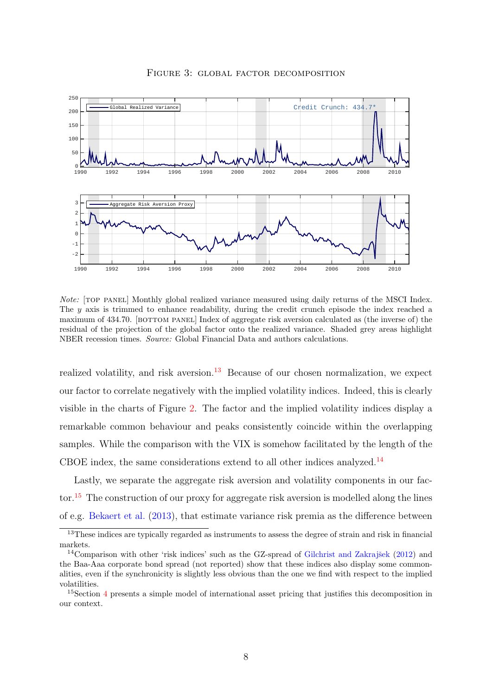<span id="page-8-3"></span>

Figure 3: global factor decomposition

Note: [top panel] Monthly global realized variance measured using daily returns of the MSCI Index. The  $y$  axis is trimmed to enhance readability, during the credit crunch episode the index reached a maximum of 434.70. [BOTTOM PANEL] Index of aggregate risk aversion calculated as (the inverse of) the residual of the projection of the global factor onto the realized variance. Shaded grey areas highlight NBER recession times. Source: Global Financial Data and authors calculations.

realized volatility, and risk aversion. $13$  Because of our chosen normalization, we expect our factor to correlate negatively with the implied volatility indices. Indeed, this is clearly visible in the charts of Figure [2.](#page-7-0) The factor and the implied volatility indices display a remarkable common behaviour and peaks consistently coincide within the overlapping samples. While the comparison with the VIX is somehow facilitated by the length of the CBOE index, the same considerations extend to all other indices analyzed.<sup>[14](#page-8-1)</sup>

Lastly, we separate the aggregate risk aversion and volatility components in our fac-tor.<sup>[15](#page-8-2)</sup> The construction of our proxy for aggregate risk aversion is modelled along the lines of e.g. [Bekaert et al.](#page-31-5) [\(2013\)](#page-31-5), that estimate variance risk premia as the difference between

<span id="page-8-0"></span><sup>&</sup>lt;sup>13</sup>These indices are typically regarded as instruments to assess the degree of strain and risk in financial markets.

<span id="page-8-1"></span><sup>&</sup>lt;sup>14</sup>Comparison with other 'risk indices' such as the GZ-spread of Gilchrist and Zakrajšek  $(2012)$  and the Baa-Aaa corporate bond spread (not reported) show that these indices also display some commonalities, even if the synchronicity is slightly less obvious than the one we find with respect to the implied volatilities.

<span id="page-8-2"></span><sup>&</sup>lt;sup>15</sup>Section [4](#page-24-0) presents a simple model of international asset pricing that justifies this decomposition in our context.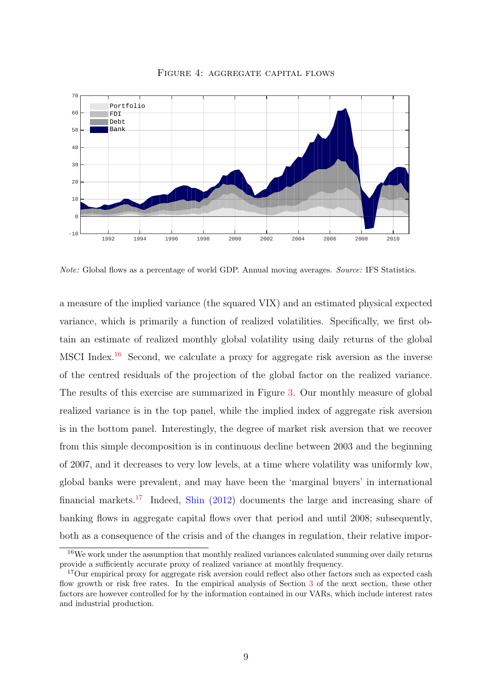<span id="page-9-2"></span>

Figure 4: aggregate capital flows

Note: Global flows as a percentage of world GDP. Annual moving averages. Source: IFS Statistics.

a measure of the implied variance (the squared VIX) and an estimated physical expected variance, which is primarily a function of realized volatilities. Specifically, we first obtain an estimate of realized monthly global volatility using daily returns of the global MSCI Index.[16](#page-9-0) Second, we calculate a proxy for aggregate risk aversion as the inverse of the centred residuals of the projection of the global factor on the realized variance. The results of this exercise are summarized in Figure [3.](#page-8-3) Our monthly measure of global realized variance is in the top panel, while the implied index of aggregate risk aversion is in the bottom panel. Interestingly, the degree of market risk aversion that we recover from this simple decomposition is in continuous decline between 2003 and the beginning of 2007, and it decreases to very low levels, at a time where volatility was uniformly low, global banks were prevalent, and may have been the 'marginal buyers' in international financial markets.<sup>[17](#page-9-1)</sup> Indeed, [Shin](#page-35-4)  $(2012)$  documents the large and increasing share of banking flows in aggregate capital flows over that period and until 2008; subsequently, both as a consequence of the crisis and of the changes in regulation, their relative impor-

<span id="page-9-0"></span><sup>&</sup>lt;sup>16</sup>We work under the assumption that monthly realized variances calculated summing over daily returns provide a sufficiently accurate proxy of realized variance at monthly frequency.

<span id="page-9-1"></span><sup>&</sup>lt;sup>17</sup>Our empirical proxy for aggregate risk aversion could reflect also other factors such as expected cash flow growth or risk free rates. In the empirical analysis of Section [3](#page-10-0) of the next section, these other factors are however controlled for by the information contained in our VARs, which include interest rates and industrial production.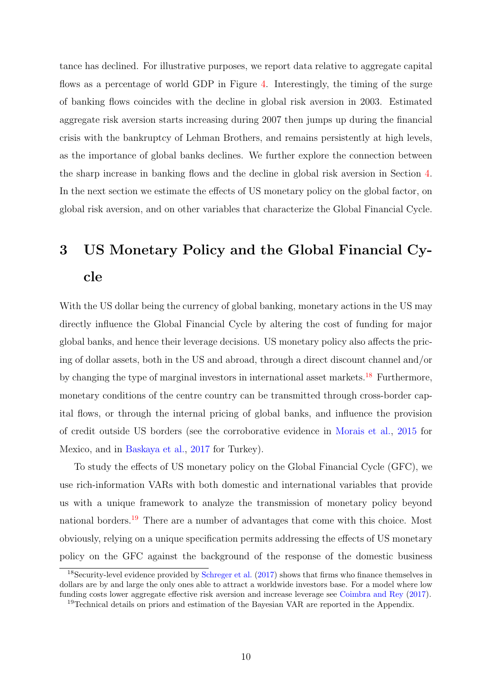tance has declined. For illustrative purposes, we report data relative to aggregate capital flows as a percentage of world GDP in Figure [4.](#page-9-2) Interestingly, the timing of the surge of banking flows coincides with the decline in global risk aversion in 2003. Estimated aggregate risk aversion starts increasing during 2007 then jumps up during the financial crisis with the bankruptcy of Lehman Brothers, and remains persistently at high levels, as the importance of global banks declines. We further explore the connection between the sharp increase in banking flows and the decline in global risk aversion in Section [4.](#page-24-0) In the next section we estimate the effects of US monetary policy on the global factor, on global risk aversion, and on other variables that characterize the Global Financial Cycle.

# <span id="page-10-0"></span>3 US Monetary Policy and the Global Financial Cycle

With the US dollar being the currency of global banking, monetary actions in the US may directly influence the Global Financial Cycle by altering the cost of funding for major global banks, and hence their leverage decisions. US monetary policy also affects the pricing of dollar assets, both in the US and abroad, through a direct discount channel and/or by changing the type of marginal investors in international asset markets.<sup>[18](#page-10-1)</sup> Furthermore, monetary conditions of the centre country can be transmitted through cross-border capital flows, or through the internal pricing of global banks, and influence the provision of credit outside US borders (see the corroborative evidence in [Morais et al.,](#page-34-6) [2015](#page-34-6) for Mexico, and in [Baskaya et al.,](#page-31-7) [2017](#page-31-7) for Turkey).

To study the effects of US monetary policy on the Global Financial Cycle (GFC), we use rich-information VARs with both domestic and international variables that provide us with a unique framework to analyze the transmission of monetary policy beyond national borders.[19](#page-10-2) There are a number of advantages that come with this choice. Most obviously, relying on a unique specification permits addressing the effects of US monetary policy on the GFC against the background of the response of the domestic business

<span id="page-10-1"></span><sup>18</sup>Security-level evidence provided by [Schreger et al.](#page-35-5) [\(2017\)](#page-35-5) shows that firms who finance themselves in dollars are by and large the only ones able to attract a worldwide investors base. For a model where low funding costs lower aggregate effective risk aversion and increase leverage see [Coimbra and Rey](#page-32-2) [\(2017\)](#page-32-2).

<span id="page-10-2"></span><sup>&</sup>lt;sup>19</sup>Technical details on priors and estimation of the Bayesian VAR are reported in the Appendix.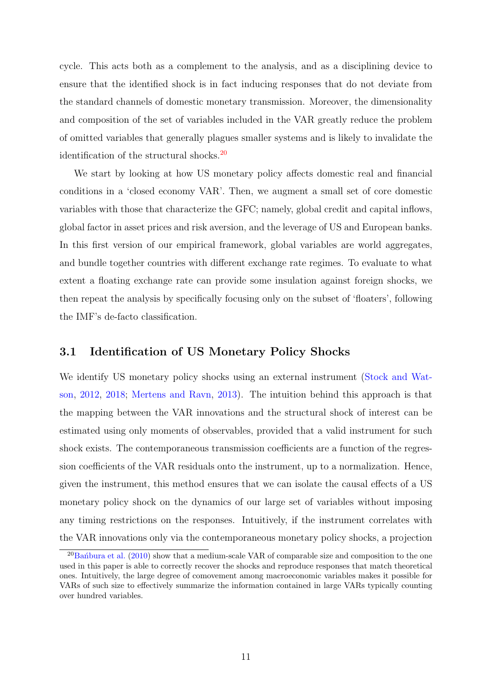cycle. This acts both as a complement to the analysis, and as a disciplining device to ensure that the identified shock is in fact inducing responses that do not deviate from the standard channels of domestic monetary transmission. Moreover, the dimensionality and composition of the set of variables included in the VAR greatly reduce the problem of omitted variables that generally plagues smaller systems and is likely to invalidate the identification of the structural shocks.<sup>[20](#page-11-0)</sup>

We start by looking at how US monetary policy affects domestic real and financial conditions in a 'closed economy VAR'. Then, we augment a small set of core domestic variables with those that characterize the GFC; namely, global credit and capital inflows, global factor in asset prices and risk aversion, and the leverage of US and European banks. In this first version of our empirical framework, global variables are world aggregates, and bundle together countries with different exchange rate regimes. To evaluate to what extent a floating exchange rate can provide some insulation against foreign shocks, we then repeat the analysis by specifically focusing only on the subset of 'floaters', following the IMF's de-facto classification.

#### 3.1 Identification of US Monetary Policy Shocks

We identify US monetary policy shocks using an external instrument [\(Stock and Wat](#page-35-6)[son,](#page-35-6) [2012,](#page-35-6) [2018;](#page-35-7) [Mertens and Ravn,](#page-34-7) [2013\)](#page-34-7). The intuition behind this approach is that the mapping between the VAR innovations and the structural shock of interest can be estimated using only moments of observables, provided that a valid instrument for such shock exists. The contemporaneous transmission coefficients are a function of the regression coefficients of the VAR residuals onto the instrument, up to a normalization. Hence, given the instrument, this method ensures that we can isolate the causal effects of a US monetary policy shock on the dynamics of our large set of variables without imposing any timing restrictions on the responses. Intuitively, if the instrument correlates with the VAR innovations only via the contemporaneous monetary policy shocks, a projection

<span id="page-11-0"></span> $^{20}$ Ban´bura et al. [\(2010\)](#page-31-11) show that a medium-scale VAR of comparable size and composition to the one used in this paper is able to correctly recover the shocks and reproduce responses that match theoretical ones. Intuitively, the large degree of comovement among macroeconomic variables makes it possible for VARs of such size to effectively summarize the information contained in large VARs typically counting over hundred variables.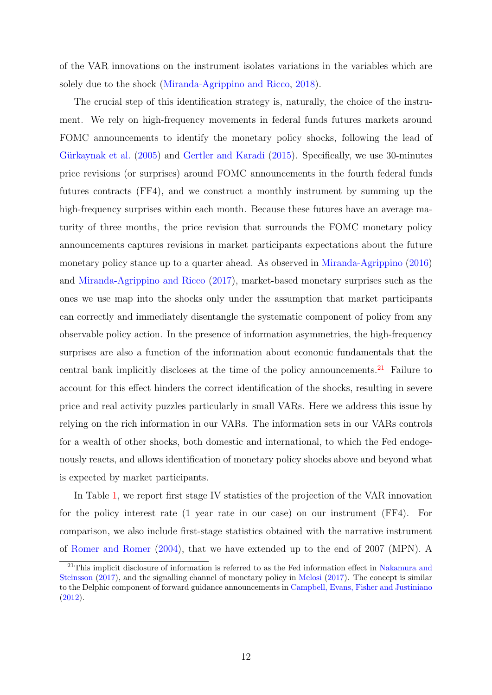of the VAR innovations on the instrument isolates variations in the variables which are solely due to the shock [\(Miranda-Agrippino and Ricco,](#page-34-4) [2018\)](#page-34-4).

The crucial step of this identification strategy is, naturally, the choice of the instrument. We rely on high-frequency movements in federal funds futures markets around FOMC announcements to identify the monetary policy shocks, following the lead of Gürkaynak et al. [\(2005\)](#page-33-2) and [Gertler and Karadi](#page-33-3) [\(2015\)](#page-33-3). Specifically, we use 30-minutes price revisions (or surprises) around FOMC announcements in the fourth federal funds futures contracts (FF4), and we construct a monthly instrument by summing up the high-frequency surprises within each month. Because these futures have an average maturity of three months, the price revision that surrounds the FOMC monetary policy announcements captures revisions in market participants expectations about the future monetary policy stance up to a quarter ahead. As observed in [Miranda-Agrippino](#page-34-3) [\(2016\)](#page-34-3) and [Miranda-Agrippino and Ricco](#page-34-8) [\(2017\)](#page-34-8), market-based monetary surprises such as the ones we use map into the shocks only under the assumption that market participants can correctly and immediately disentangle the systematic component of policy from any observable policy action. In the presence of information asymmetries, the high-frequency surprises are also a function of the information about economic fundamentals that the central bank implicitly discloses at the time of the policy announcements.<sup>[21](#page-12-0)</sup> Failure to account for this effect hinders the correct identification of the shocks, resulting in severe price and real activity puzzles particularly in small VARs. Here we address this issue by relying on the rich information in our VARs. The information sets in our VARs controls for a wealth of other shocks, both domestic and international, to which the Fed endogenously reacts, and allows identification of monetary policy shocks above and beyond what is expected by market participants.

In Table [1,](#page-13-0) we report first stage IV statistics of the projection of the VAR innovation for the policy interest rate (1 year rate in our case) on our instrument (FF4). For comparison, we also include first-stage statistics obtained with the narrative instrument of [Romer and Romer](#page-35-8) [\(2004\)](#page-35-8), that we have extended up to the end of 2007 (MPN). A

<span id="page-12-0"></span><sup>&</sup>lt;sup>21</sup>This implicit disclosure of information is referred to as the Fed information effect in [Nakamura and](#page-34-9) [Steinsson](#page-34-9) [\(2017\)](#page-34-9), and the signalling channel of monetary policy in [Melosi](#page-34-10) [\(2017\)](#page-34-10). The concept is similar to the Delphic component of forward guidance announcements in [Campbell, Evans, Fisher and Justiniano](#page-32-7) [\(2012\)](#page-32-7).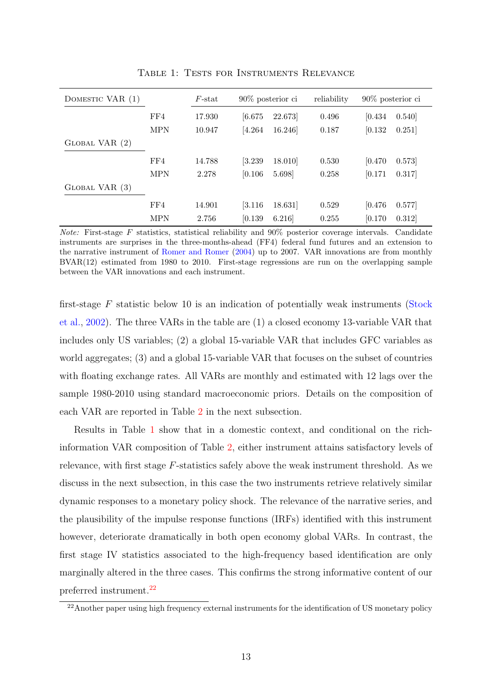<span id="page-13-0"></span>

| DOMESTIC VAR (1)    |            | $F$ -stat | $90\%$ posterior ci  |        | reliability | $90\%$ posterior ci |       |
|---------------------|------------|-----------|----------------------|--------|-------------|---------------------|-------|
|                     | FF4        | 17.930    | [6.675]              | 22.673 | 0.496       | [0.434]             | 0.540 |
|                     | <b>MPN</b> | 10.947    | [4.264]              | 16.246 | 0.187       | [0.132]             | 0.251 |
| $G$ LOBAL VAR $(2)$ |            |           |                      |        |             |                     |       |
|                     | FF4        | 14.788    | 3.239                | 18.010 | 0.530       | [0.470]             | 0.573 |
|                     | <b>MPN</b> | 2.278     | [0.106]              | 5.698  | 0.258       | [0.171]             | 0.317 |
| $G$ LOBAL VAR $(3)$ |            |           |                      |        |             |                     |       |
|                     | FF4        | 14.901    | $\left[3.116\right]$ | 18.631 | 0.529       | [0.476]             | 0.577 |
|                     | <b>MPN</b> | 2.756     | [0.139]              | 6.216  | 0.255       | [0.170]             | 0.312 |

Table 1: Tests for Instruments Relevance

*Note:* First-stage F statistics, statistical reliability and  $90\%$  posterior coverage intervals. Candidate instruments are surprises in the three-months-ahead (FF4) federal fund futures and an extension to the narrative instrument of [Romer and Romer](#page-35-8) [\(2004\)](#page-35-8) up to 2007. VAR innovations are from monthly BVAR(12) estimated from 1980 to 2010. First-stage regressions are run on the overlapping sample between the VAR innovations and each instrument.

first-stage  $F$  statistic below 10 is an indication of potentially weak instruments [\(Stock](#page-35-9) [et al.,](#page-35-9) [2002\)](#page-35-9). The three VARs in the table are (1) a closed economy 13-variable VAR that includes only US variables; (2) a global 15-variable VAR that includes GFC variables as world aggregates; (3) and a global 15-variable VAR that focuses on the subset of countries with floating exchange rates. All VARs are monthly and estimated with 12 lags over the sample 1980-2010 using standard macroeconomic priors. Details on the composition of each VAR are reported in Table [2](#page-14-0) in the next subsection.

Results in Table [1](#page-13-0) show that in a domestic context, and conditional on the richinformation VAR composition of Table [2,](#page-14-0) either instrument attains satisfactory levels of relevance, with first stage F-statistics safely above the weak instrument threshold. As we discuss in the next subsection, in this case the two instruments retrieve relatively similar dynamic responses to a monetary policy shock. The relevance of the narrative series, and the plausibility of the impulse response functions (IRFs) identified with this instrument however, deteriorate dramatically in both open economy global VARs. In contrast, the first stage IV statistics associated to the high-frequency based identification are only marginally altered in the three cases. This confirms the strong informative content of our preferred instrument.[22](#page-13-1)

<span id="page-13-1"></span><sup>&</sup>lt;sup>22</sup>Another paper using high frequency external instruments for the identification of US monetary policy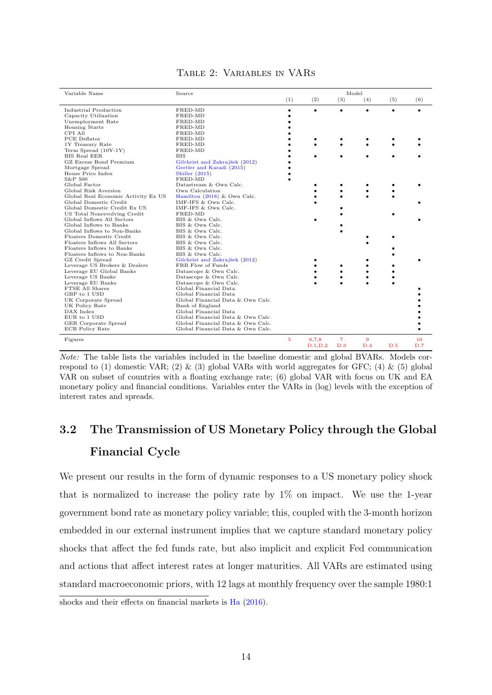<span id="page-14-0"></span>

| Variable Name                       | Source                            |                |                | Model                 |          |     |           |
|-------------------------------------|-----------------------------------|----------------|----------------|-----------------------|----------|-----|-----------|
|                                     |                                   | (1)            | (2)            | (3)                   | (4)      | (5) | (6)       |
| Industrial Production               | FRED-MD                           |                | $\bullet$      | $\bullet$             | ٠        |     |           |
| Capacity Utilization                | FRED-MD                           |                |                |                       |          |     |           |
| Unemployment Rate                   | FRED-MD                           |                |                |                       |          |     |           |
| <b>Housing Starts</b>               | FRED-MD                           |                |                |                       |          |     |           |
| CPI All                             | FRED-MD                           |                |                |                       |          |     |           |
| PCE Deflator                        | FRED-MD                           |                |                |                       |          |     |           |
| 1Y Treasury Rate                    | FRED-MD                           |                |                |                       |          |     |           |
| Term Spread (10Y-1Y)                | FRED-MD                           |                |                |                       |          |     |           |
| <b>BIS Real EER</b>                 | BIS                               |                |                |                       |          |     |           |
| GZ Excess Bond Premium              | Gilchrist and Zakrajšek (2012)    |                |                |                       |          |     |           |
| Mortgage Spread                     | Gertler and Karadi (2015)         |                |                |                       |          |     |           |
| House Price Index                   | Shiller $(2015)$                  |                |                |                       |          |     |           |
| S&P 500                             | FRED-MD                           |                |                |                       |          |     |           |
| Global Factor                       | Datastream & Own Calc.            |                |                |                       |          |     |           |
| Global Risk Aversion                | Own Calculation                   |                |                |                       |          |     |           |
| Global Real Economic Activity Ex US | Hamilton $(2018)$ & Own Calc.     |                |                |                       |          |     |           |
| Global Domestic Credit              | IMF-IFS & Own Calc.               |                |                |                       |          |     |           |
| Global Domestic Credit Ex US        | IMF-IFS & Own Calc.               |                |                |                       |          |     |           |
| US Total Nonrevolving Credit        | FRED-MD                           |                |                |                       |          |     |           |
| Global Inflows All Sectors          | BIS & Own Calc.                   |                |                |                       |          |     |           |
| Global Inflows to Banks             | BIS & Own Calc.                   |                |                |                       |          |     |           |
| Global Inflows to Non-Banks         | BIS & Own Calc.                   |                |                |                       |          |     |           |
| Floaters Domestic Credit            | BIS & Own Calc.                   |                |                |                       |          |     |           |
| Floaters Inflows All Sectors        | BIS & Own Calc.                   |                |                |                       |          |     |           |
| Floaters Inflows to Banks           | BIS & Own Calc.                   |                |                |                       |          |     |           |
| Floaters Inflows to Non-Banks       | BIS & Own Calc.                   |                |                |                       |          |     |           |
| GZ Credit Spread                    | Gilchrist and Zakrajšek (2012)    |                |                |                       |          |     |           |
| Leverage US Brokers & Dealers       | FRB Flow of Funds                 |                |                |                       |          |     |           |
| Leverage EU Global Banks            | Datascope & Own Calc.             |                |                |                       |          |     |           |
| Leverage US Banks                   | Datascope & Own Calc.             |                |                |                       |          |     |           |
| Leverage EU Banks                   | Datascope & Own Calc.             |                |                |                       |          |     |           |
| FTSE All Shares                     | Global Financial Data             |                |                |                       |          |     |           |
| GBP to 1 USD                        | Global Financial Data             |                |                |                       |          |     |           |
| UK Corporate Spread                 | Global Financial Data & Own Calc. |                |                |                       |          |     |           |
| UK Policy Rate                      | Bank of England                   |                |                |                       |          |     |           |
| DAX Index                           | Global Financial Data             |                |                |                       |          |     |           |
| EUR to 1 USD                        | Global Financial Data & Own Calc. |                |                |                       |          |     |           |
| GER Corporate Spread                | Global Financial Data & Own Calc. |                |                |                       |          |     |           |
| ECB Policy Rate                     | Global Financial Data & Own Calc. |                |                |                       |          |     |           |
| Figures                             |                                   | $\overline{5}$ | 678<br>D.1 D.2 | $\overline{7}$<br>D.3 | 9<br>D.4 | D.5 | 10<br>D.7 |

#### Table 2: Variables in VARs

Note: The table lists the variables included in the baseline domestic and global BVARs. Models correspond to (1) domestic VAR; (2)  $\&$  (3) global VARs with world aggregates for GFC; (4)  $\&$  (5) global VAR on subset of countries with a floating exchange rate; (6) global VAR with focus on UK and EA monetary policy and financial conditions. Variables enter the VARs in (log) levels with the exception of interest rates and spreads.

# 3.2 The Transmission of US Monetary Policy through the Global Financial Cycle

We present our results in the form of dynamic responses to a US monetary policy shock that is normalized to increase the policy rate by  $1\%$  on impact. We use the 1-year government bond rate as monetary policy variable; this, coupled with the 3-month horizon embedded in our external instrument implies that we capture standard monetary policy shocks that affect the fed funds rate, but also implicit and explicit Fed communication and actions that affect interest rates at longer maturities. All VARs are estimated using standard macroeconomic priors, with 12 lags at monthly frequency over the sample 1980:1

shocks and their effects on financial markets is [Ha](#page-33-11) [\(2016\)](#page-33-11).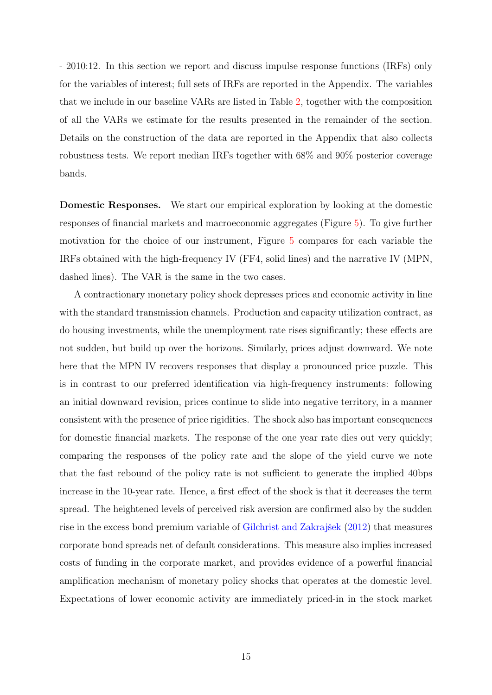- 2010:12. In this section we report and discuss impulse response functions (IRFs) only for the variables of interest; full sets of IRFs are reported in the Appendix. The variables that we include in our baseline VARs are listed in Table [2,](#page-14-0) together with the composition of all the VARs we estimate for the results presented in the remainder of the section. Details on the construction of the data are reported in the Appendix that also collects robustness tests. We report median IRFs together with 68% and 90% posterior coverage bands.

Domestic Responses. We start our empirical exploration by looking at the domestic responses of financial markets and macroeconomic aggregates (Figure [5\)](#page-16-0). To give further motivation for the choice of our instrument, Figure [5](#page-16-0) compares for each variable the IRFs obtained with the high-frequency IV (FF4, solid lines) and the narrative IV (MPN, dashed lines). The VAR is the same in the two cases.

A contractionary monetary policy shock depresses prices and economic activity in line with the standard transmission channels. Production and capacity utilization contract, as do housing investments, while the unemployment rate rises significantly; these effects are not sudden, but build up over the horizons. Similarly, prices adjust downward. We note here that the MPN IV recovers responses that display a pronounced price puzzle. This is in contrast to our preferred identification via high-frequency instruments: following an initial downward revision, prices continue to slide into negative territory, in a manner consistent with the presence of price rigidities. The shock also has important consequences for domestic financial markets. The response of the one year rate dies out very quickly; comparing the responses of the policy rate and the slope of the yield curve we note that the fast rebound of the policy rate is not sufficient to generate the implied 40bps increase in the 10-year rate. Hence, a first effect of the shock is that it decreases the term spread. The heightened levels of perceived risk aversion are confirmed also by the sudden rise in the excess bond premium variable of Gilchrist and Zakrajšek [\(2012\)](#page-33-9) that measures corporate bond spreads net of default considerations. This measure also implies increased costs of funding in the corporate market, and provides evidence of a powerful financial amplification mechanism of monetary policy shocks that operates at the domestic level. Expectations of lower economic activity are immediately priced-in in the stock market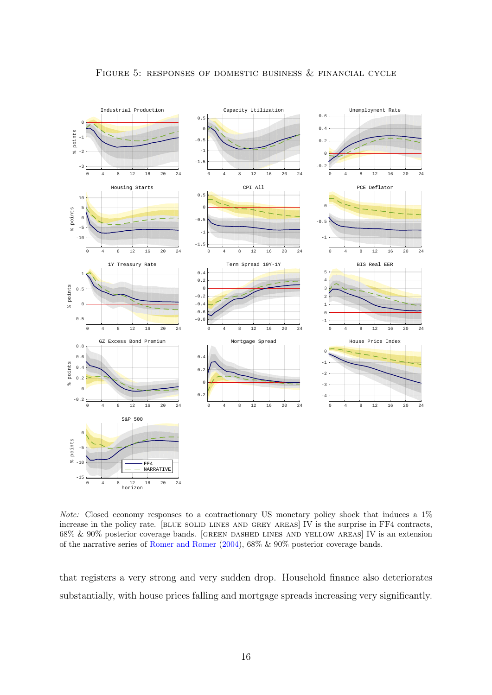<span id="page-16-0"></span>

Note: Closed economy responses to a contractionary US monetary policy shock that induces a  $1\%$ increase in the policy rate. [blue solid lines and grey areas] IV is the surprise in FF4 contracts, 68% & 90% posterior coverage bands. [green dashed lines and yellow areas] IV is an extension of the narrative series of [Romer and Romer](#page-35-8) [\(2004\)](#page-35-8), 68% & 90% posterior coverage bands.

that registers a very strong and very sudden drop. Household finance also deteriorates substantially, with house prices falling and mortgage spreads increasing very significantly.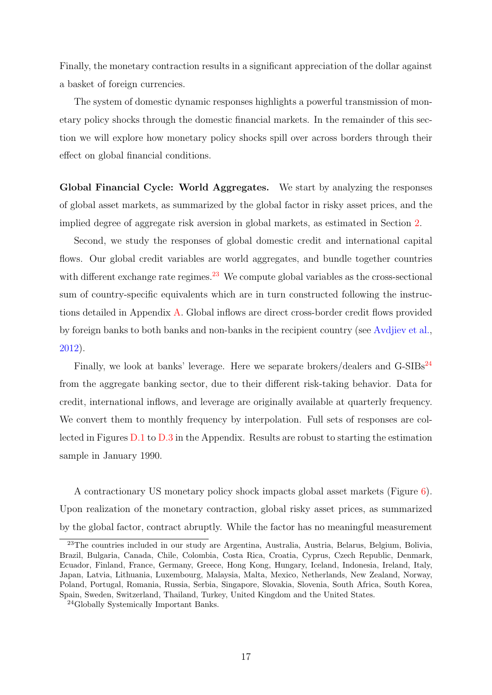Finally, the monetary contraction results in a significant appreciation of the dollar against a basket of foreign currencies.

The system of domestic dynamic responses highlights a powerful transmission of monetary policy shocks through the domestic financial markets. In the remainder of this section we will explore how monetary policy shocks spill over across borders through their effect on global financial conditions.

Global Financial Cycle: World Aggregates. We start by analyzing the responses of global asset markets, as summarized by the global factor in risky asset prices, and the implied degree of aggregate risk aversion in global markets, as estimated in Section [2.](#page-5-0)

Second, we study the responses of global domestic credit and international capital flows. Our global credit variables are world aggregates, and bundle together countries with different exchange rate regimes.<sup>[23](#page-17-0)</sup> We compute global variables as the cross-sectional sum of country-specific equivalents which are in turn constructed following the instructions detailed in Appendix [A.](#page-36-0) Global inflows are direct cross-border credit flows provided by foreign banks to both banks and non-banks in the recipient country (see [Avdjiev et al.,](#page-31-12) [2012\)](#page-31-12).

Finally, we look at banks' leverage. Here we separate brokers/dealers and  $G-SIBs<sup>24</sup>$  $G-SIBs<sup>24</sup>$  $G-SIBs<sup>24</sup>$ from the aggregate banking sector, due to their different risk-taking behavior. Data for credit, international inflows, and leverage are originally available at quarterly frequency. We convert them to monthly frequency by interpolation. Full sets of responses are collected in Figures [D.1](#page-50-0) to [D.3](#page-52-0) in the Appendix. Results are robust to starting the estimation sample in January 1990.

A contractionary US monetary policy shock impacts global asset markets (Figure [6\)](#page-18-0). Upon realization of the monetary contraction, global risky asset prices, as summarized by the global factor, contract abruptly. While the factor has no meaningful measurement

<span id="page-17-0"></span><sup>23</sup>The countries included in our study are Argentina, Australia, Austria, Belarus, Belgium, Bolivia, Brazil, Bulgaria, Canada, Chile, Colombia, Costa Rica, Croatia, Cyprus, Czech Republic, Denmark, Ecuador, Finland, France, Germany, Greece, Hong Kong, Hungary, Iceland, Indonesia, Ireland, Italy, Japan, Latvia, Lithuania, Luxembourg, Malaysia, Malta, Mexico, Netherlands, New Zealand, Norway, Poland, Portugal, Romania, Russia, Serbia, Singapore, Slovakia, Slovenia, South Africa, South Korea, Spain, Sweden, Switzerland, Thailand, Turkey, United Kingdom and the United States.

<span id="page-17-1"></span><sup>24</sup>Globally Systemically Important Banks.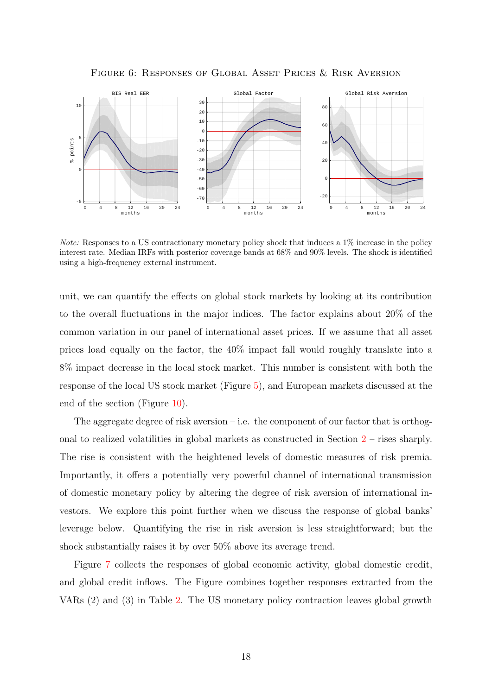Figure 6: Responses of Global Asset Prices & Risk Aversion

<span id="page-18-0"></span>

Note: Responses to a US contractionary monetary policy shock that induces a 1% increase in the policy interest rate. Median IRFs with posterior coverage bands at 68% and 90% levels. The shock is identified using a high-frequency external instrument.

unit, we can quantify the effects on global stock markets by looking at its contribution to the overall fluctuations in the major indices. The factor explains about 20% of the common variation in our panel of international asset prices. If we assume that all asset prices load equally on the factor, the 40% impact fall would roughly translate into a 8% impact decrease in the local stock market. This number is consistent with both the response of the local US stock market (Figure [5\)](#page-16-0), and European markets discussed at the end of the section (Figure [10\)](#page-23-0).

The aggregate degree of risk aversion – i.e. the component of our factor that is orthogonal to realized volatilities in global markets as constructed in Section [2](#page-5-0) – rises sharply. The rise is consistent with the heightened levels of domestic measures of risk premia. Importantly, it offers a potentially very powerful channel of international transmission of domestic monetary policy by altering the degree of risk aversion of international investors. We explore this point further when we discuss the response of global banks' leverage below. Quantifying the rise in risk aversion is less straightforward; but the shock substantially raises it by over 50% above its average trend.

Figure [7](#page-19-0) collects the responses of global economic activity, global domestic credit, and global credit inflows. The Figure combines together responses extracted from the VARs (2) and (3) in Table [2.](#page-14-0) The US monetary policy contraction leaves global growth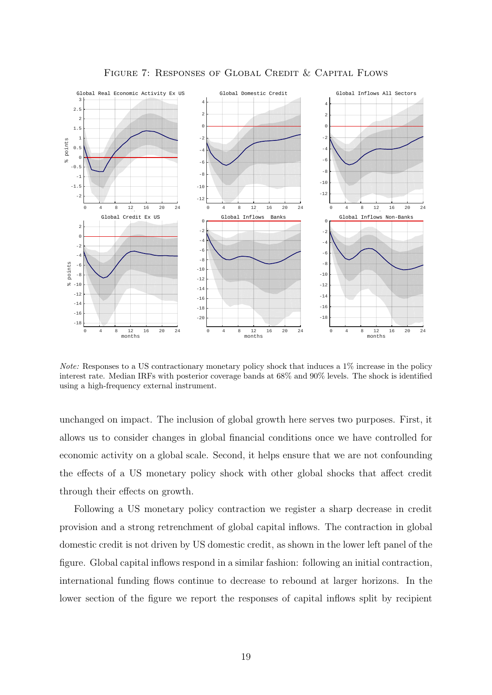<span id="page-19-0"></span>

Figure 7: Responses of Global Credit & Capital Flows

Note: Responses to a US contractionary monetary policy shock that induces a 1% increase in the policy interest rate. Median IRFs with posterior coverage bands at 68% and 90% levels. The shock is identified using a high-frequency external instrument.

unchanged on impact. The inclusion of global growth here serves two purposes. First, it allows us to consider changes in global financial conditions once we have controlled for economic activity on a global scale. Second, it helps ensure that we are not confounding the effects of a US monetary policy shock with other global shocks that affect credit through their effects on growth.

Following a US monetary policy contraction we register a sharp decrease in credit provision and a strong retrenchment of global capital inflows. The contraction in global domestic credit is not driven by US domestic credit, as shown in the lower left panel of the figure. Global capital inflows respond in a similar fashion: following an initial contraction, international funding flows continue to decrease to rebound at larger horizons. In the lower section of the figure we report the responses of capital inflows split by recipient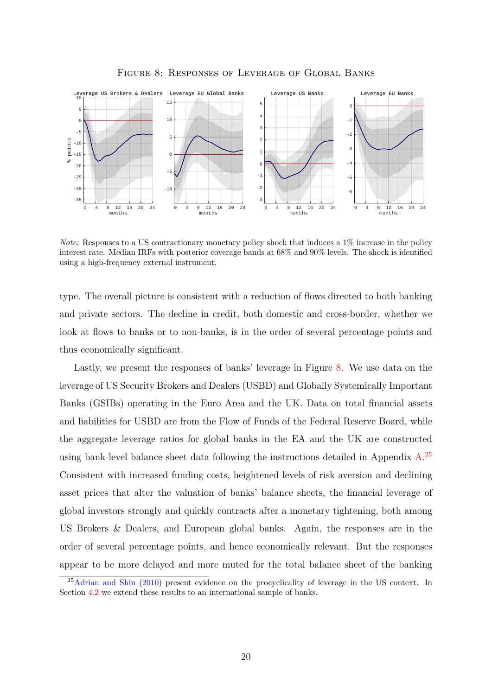<span id="page-20-0"></span>

Figure 8: Responses of Leverage of Global Banks

Note: Responses to a US contractionary monetary policy shock that induces a 1% increase in the policy interest rate. Median IRFs with posterior coverage bands at 68% and 90% levels. The shock is identified using a high-frequency external instrument.

type. The overall picture is consistent with a reduction of flows directed to both banking and private sectors. The decline in credit, both domestic and cross-border, whether we look at flows to banks or to non-banks, is in the order of several percentage points and thus economically significant.

Lastly, we present the responses of banks' leverage in Figure [8.](#page-20-0) We use data on the leverage of US Security Brokers and Dealers (USBD) and Globally Systemically Important Banks (GSIBs) operating in the Euro Area and the UK. Data on total financial assets and liabilities for USBD are from the Flow of Funds of the Federal Reserve Board, while the aggregate leverage ratios for global banks in the EA and the UK are constructed using bank-level balance sheet data following the instructions detailed in Appendix  $A$ .<sup>[25](#page-20-1)</sup> Consistent with increased funding costs, heightened levels of risk aversion and declining asset prices that alter the valuation of banks' balance sheets, the financial leverage of global investors strongly and quickly contracts after a monetary tightening, both among US Brokers & Dealers, and European global banks. Again, the responses are in the order of several percentage points, and hence economically relevant. But the responses appear to be more delayed and more muted for the total balance sheet of the banking

<span id="page-20-1"></span><sup>&</sup>lt;sup>25</sup>[Adrian and Shin](#page-31-13) [\(2010\)](#page-31-13) present evidence on the procyclicality of leverage in the US context. In Section [4.2](#page-28-0) we extend these results to an international sample of banks.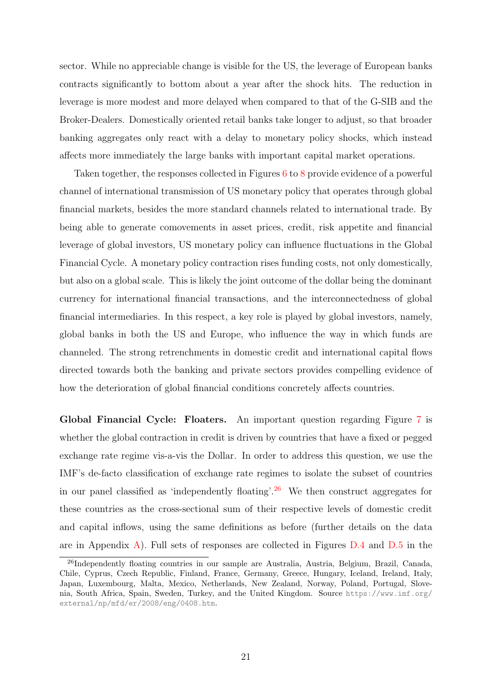sector. While no appreciable change is visible for the US, the leverage of European banks contracts significantly to bottom about a year after the shock hits. The reduction in leverage is more modest and more delayed when compared to that of the G-SIB and the Broker-Dealers. Domestically oriented retail banks take longer to adjust, so that broader banking aggregates only react with a delay to monetary policy shocks, which instead affects more immediately the large banks with important capital market operations.

Taken together, the responses collected in Figures [6](#page-18-0) to [8](#page-20-0) provide evidence of a powerful channel of international transmission of US monetary policy that operates through global financial markets, besides the more standard channels related to international trade. By being able to generate comovements in asset prices, credit, risk appetite and financial leverage of global investors, US monetary policy can influence fluctuations in the Global Financial Cycle. A monetary policy contraction rises funding costs, not only domestically, but also on a global scale. This is likely the joint outcome of the dollar being the dominant currency for international financial transactions, and the interconnectedness of global financial intermediaries. In this respect, a key role is played by global investors, namely, global banks in both the US and Europe, who influence the way in which funds are channeled. The strong retrenchments in domestic credit and international capital flows directed towards both the banking and private sectors provides compelling evidence of how the deterioration of global financial conditions concretely affects countries.

Global Financial Cycle: Floaters. An important question regarding Figure [7](#page-19-0) is whether the global contraction in credit is driven by countries that have a fixed or pegged exchange rate regime vis-a-vis the Dollar. In order to address this question, we use the IMF's de-facto classification of exchange rate regimes to isolate the subset of countries in our panel classified as 'independently floating'.<sup>[26](#page-21-0)</sup> We then construct aggregates for these countries as the cross-sectional sum of their respective levels of domestic credit and capital inflows, using the same definitions as before (further details on the data are in Appendix [A\)](#page-36-0). Full sets of responses are collected in Figures  $D.4$  and  $D.5$  in the

<span id="page-21-0"></span><sup>26</sup>Independently floating countries in our sample are Australia, Austria, Belgium, Brazil, Canada, Chile, Cyprus, Czech Republic, Finland, France, Germany, Greece, Hungary, Iceland, Ireland, Italy, Japan, Luxembourg, Malta, Mexico, Netherlands, New Zealand, Norway, Poland, Portugal, Slovenia, South Africa, Spain, Sweden, Turkey, and the United Kingdom. Source [https://www.imf.org/](https://www.imf.org/external/np/mfd/er/2008/eng/0408.htm) [external/np/mfd/er/2008/eng/0408.htm](https://www.imf.org/external/np/mfd/er/2008/eng/0408.htm).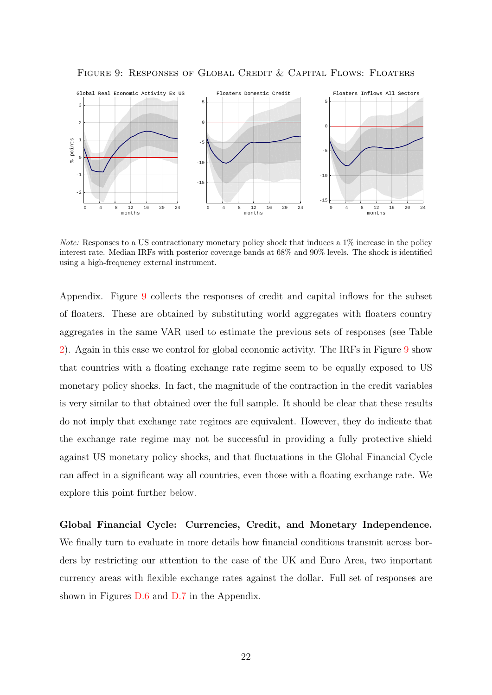

<span id="page-22-0"></span>Figure 9: Responses of Global Credit & Capital Flows: Floaters

Note: Responses to a US contractionary monetary policy shock that induces a 1% increase in the policy interest rate. Median IRFs with posterior coverage bands at 68% and 90% levels. The shock is identified using a high-frequency external instrument.

Appendix. Figure [9](#page-22-0) collects the responses of credit and capital inflows for the subset of floaters. These are obtained by substituting world aggregates with floaters country aggregates in the same VAR used to estimate the previous sets of responses (see Table [2\)](#page-14-0). Again in this case we control for global economic activity. The IRFs in Figure [9](#page-22-0) show that countries with a floating exchange rate regime seem to be equally exposed to US monetary policy shocks. In fact, the magnitude of the contraction in the credit variables is very similar to that obtained over the full sample. It should be clear that these results do not imply that exchange rate regimes are equivalent. However, they do indicate that the exchange rate regime may not be successful in providing a fully protective shield against US monetary policy shocks, and that fluctuations in the Global Financial Cycle can affect in a significant way all countries, even those with a floating exchange rate. We explore this point further below.

Global Financial Cycle: Currencies, Credit, and Monetary Independence. We finally turn to evaluate in more details how financial conditions transmit across borders by restricting our attention to the case of the UK and Euro Area, two important currency areas with flexible exchange rates against the dollar. Full set of responses are shown in Figures [D.6](#page-55-0) and [D.7](#page-56-0) in the Appendix.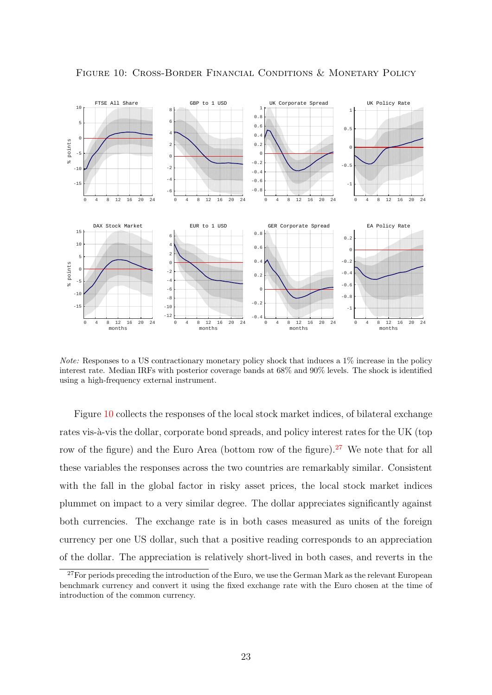

<span id="page-23-0"></span>Figure 10: Cross-Border Financial Conditions & Monetary Policy

Note: Responses to a US contractionary monetary policy shock that induces a 1% increase in the policy interest rate. Median IRFs with posterior coverage bands at 68% and 90% levels. The shock is identified using a high-frequency external instrument.

Figure [10](#page-23-0) collects the responses of the local stock market indices, of bilateral exchange rates vis-à-vis the dollar, corporate bond spreads, and policy interest rates for the UK (top row of the figure) and the Euro Area (bottom row of the figure).<sup>[27](#page-23-1)</sup> We note that for all these variables the responses across the two countries are remarkably similar. Consistent with the fall in the global factor in risky asset prices, the local stock market indices plummet on impact to a very similar degree. The dollar appreciates significantly against both currencies. The exchange rate is in both cases measured as units of the foreign currency per one US dollar, such that a positive reading corresponds to an appreciation of the dollar. The appreciation is relatively short-lived in both cases, and reverts in the

<span id="page-23-1"></span><sup>&</sup>lt;sup>27</sup>For periods preceding the introduction of the Euro, we use the German Mark as the relevant European benchmark currency and convert it using the fixed exchange rate with the Euro chosen at the time of introduction of the common currency.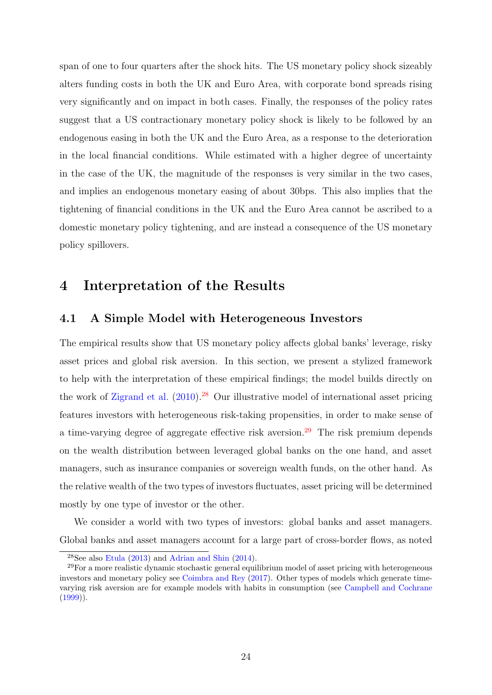span of one to four quarters after the shock hits. The US monetary policy shock sizeably alters funding costs in both the UK and Euro Area, with corporate bond spreads rising very significantly and on impact in both cases. Finally, the responses of the policy rates suggest that a US contractionary monetary policy shock is likely to be followed by an endogenous easing in both the UK and the Euro Area, as a response to the deterioration in the local financial conditions. While estimated with a higher degree of uncertainty in the case of the UK, the magnitude of the responses is very similar in the two cases, and implies an endogenous monetary easing of about 30bps. This also implies that the tightening of financial conditions in the UK and the Euro Area cannot be ascribed to a domestic monetary policy tightening, and are instead a consequence of the US monetary policy spillovers.

### <span id="page-24-0"></span>4 Interpretation of the Results

#### <span id="page-24-1"></span>4.1 A Simple Model with Heterogeneous Investors

The empirical results show that US monetary policy affects global banks' leverage, risky asset prices and global risk aversion. In this section, we present a stylized framework to help with the interpretation of these empirical findings; the model builds directly on the work of [Zigrand et al.](#page-35-11)  $(2010)^{28}$  $(2010)^{28}$  $(2010)^{28}$  $(2010)^{28}$  Our illustrative model of international asset pricing features investors with heterogeneous risk-taking propensities, in order to make sense of a time-varying degree of aggregate effective risk aversion.<sup>[29](#page-24-3)</sup> The risk premium depends on the wealth distribution between leveraged global banks on the one hand, and asset managers, such as insurance companies or sovereign wealth funds, on the other hand. As the relative wealth of the two types of investors fluctuates, asset pricing will be determined mostly by one type of investor or the other.

We consider a world with two types of investors: global banks and asset managers. Global banks and asset managers account for a large part of cross-border flows, as noted

<span id="page-24-3"></span><span id="page-24-2"></span><sup>&</sup>lt;sup>28</sup>See also [Etula](#page-32-8)  $(2013)$  and [Adrian and Shin](#page-31-14)  $(2014)$ .

 $^{29}$ For a more realistic dynamic stochastic general equilibrium model of asset pricing with heterogeneous investors and monetary policy see [Coimbra and Rey](#page-32-2) [\(2017\)](#page-32-2). Other types of models which generate timevarying risk aversion are for example models with habits in consumption (see [Campbell and Cochrane](#page-32-9)  $(1999)$ ).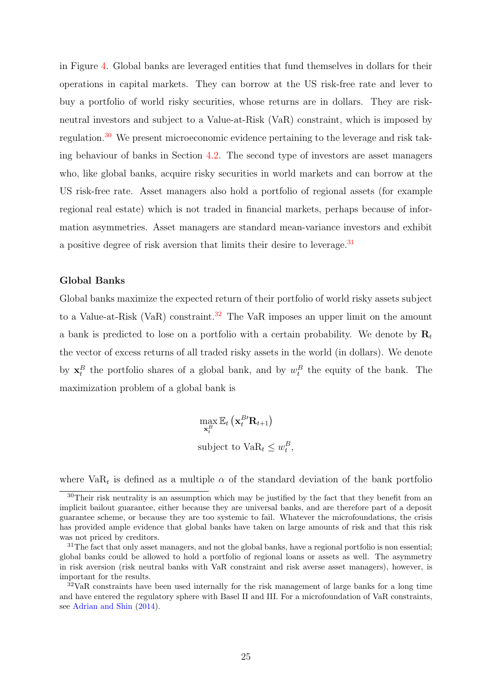in Figure [4.](#page-9-2) Global banks are leveraged entities that fund themselves in dollars for their operations in capital markets. They can borrow at the US risk-free rate and lever to buy a portfolio of world risky securities, whose returns are in dollars. They are riskneutral investors and subject to a Value-at-Risk (VaR) constraint, which is imposed by regulation.[30](#page-25-0) We present microeconomic evidence pertaining to the leverage and risk taking behaviour of banks in Section [4.2.](#page-28-0) The second type of investors are asset managers who, like global banks, acquire risky securities in world markets and can borrow at the US risk-free rate. Asset managers also hold a portfolio of regional assets (for example regional real estate) which is not traded in financial markets, perhaps because of information asymmetries. Asset managers are standard mean-variance investors and exhibit a positive degree of risk aversion that limits their desire to leverage.<sup>[31](#page-25-1)</sup>

#### Global Banks

Global banks maximize the expected return of their portfolio of world risky assets subject to a Value-at-Risk (VaR) constraint.<sup>[32](#page-25-2)</sup> The VaR imposes an upper limit on the amount a bank is predicted to lose on a portfolio with a certain probability. We denote by  $\mathbf{R}_t$ the vector of excess returns of all traded risky assets in the world (in dollars). We denote by  $x_t^B$  the portfolio shares of a global bank, and by  $w_t^B$  the equity of the bank. The maximization problem of a global bank is

> $\max_{\mathbf{x}_t^B}$  $\mathbb{E}_t\left(\mathbf{x}_t^{B'}\mathbf{R}_{t+1}\right)$ subject to  $\text{VaR}_t \leq w_t^B$ ,

where  $VaR_t$  is defined as a multiple  $\alpha$  of the standard deviation of the bank portfolio

<span id="page-25-0"></span><sup>30</sup>Their risk neutrality is an assumption which may be justified by the fact that they benefit from an implicit bailout guarantee, either because they are universal banks, and are therefore part of a deposit guarantee scheme, or because they are too systemic to fail. Whatever the microfoundations, the crisis has provided ample evidence that global banks have taken on large amounts of risk and that this risk was not priced by creditors.

<span id="page-25-1"></span> $31$ The fact that only asset managers, and not the global banks, have a regional portfolio is non essential; global banks could be allowed to hold a portfolio of regional loans or assets as well. The asymmetry in risk aversion (risk neutral banks with VaR constraint and risk averse asset managers), however, is important for the results.

<span id="page-25-2"></span><sup>&</sup>lt;sup>32</sup>VaR constraints have been used internally for the risk management of large banks for a long time and have entered the regulatory sphere with Basel II and III. For a microfoundation of VaR constraints, see [Adrian and Shin](#page-31-14) [\(2014\)](#page-31-14).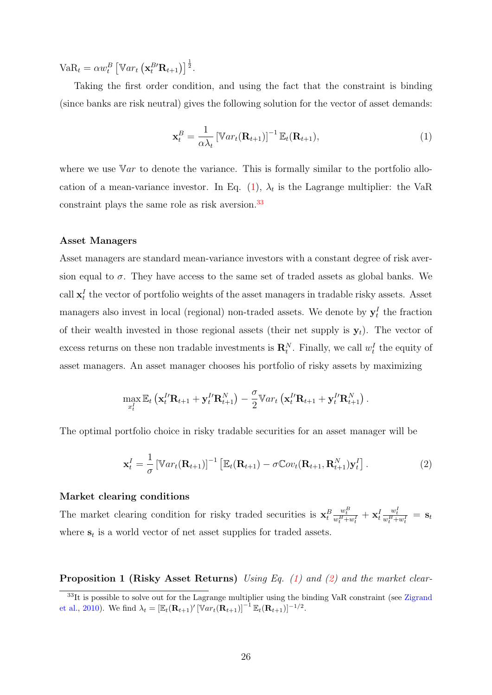Va $R_t = \alpha w_t^B \left[ \mathbb{V}ar_t \left( \mathbf{x}_t^{B'} \mathbf{R}_{t+1} \right) \right]^{\frac{1}{2}}$ .

Taking the first order condition, and using the fact that the constraint is binding (since banks are risk neutral) gives the following solution for the vector of asset demands:

<span id="page-26-0"></span>
$$
\mathbf{x}_t^B = \frac{1}{\alpha \lambda_t} \left[ \mathbb{V}ar_t(\mathbf{R}_{t+1}) \right]^{-1} \mathbb{E}_t(\mathbf{R}_{t+1}), \tag{1}
$$

where we use  $\mathbb{V}ar$  to denote the variance. This is formally similar to the portfolio allo-cation of a mean-variance investor. In Eq. [\(1\)](#page-26-0),  $\lambda_t$  is the Lagrange multiplier: the VaR constraint plays the same role as risk aversion.<sup>[33](#page-26-1)</sup>

#### Asset Managers

Asset managers are standard mean-variance investors with a constant degree of risk aversion equal to  $\sigma$ . They have access to the same set of traded assets as global banks. We call  $x_t^I$  the vector of portfolio weights of the asset managers in tradable risky assets. Asset managers also invest in local (regional) non-traded assets. We denote by  $y_t^I$  the fraction of their wealth invested in those regional assets (their net supply is  $y_t$ ). The vector of excess returns on these non tradable investments is  $\mathbf{R}_t^N$ . Finally, we call  $w_t^I$  the equity of asset managers. An asset manager chooses his portfolio of risky assets by maximizing

$$
\max_{x_t^I} \mathbb{E}_t \left( \mathbf{x}_t^{I\prime} \mathbf{R}_{t+1} + \mathbf{y}_t^{I\prime} \mathbf{R}_{t+1}^N \right) - \frac{\sigma}{2} \mathbb{V}ar_t \left( \mathbf{x}_t^{I\prime} \mathbf{R}_{t+1} + \mathbf{y}_t^{I\prime} \mathbf{R}_{t+1}^N \right).
$$

The optimal portfolio choice in risky tradable securities for an asset manager will be

<span id="page-26-2"></span>
$$
\mathbf{x}_t^I = \frac{1}{\sigma} \left[ \mathbb{V}ar_t(\mathbf{R}_{t+1}) \right]^{-1} \left[ \mathbb{E}_t(\mathbf{R}_{t+1}) - \sigma \mathbb{C}ov_t(\mathbf{R}_{t+1}, \mathbf{R}_{t+1}^N) \mathbf{y}_t^I \right]. \tag{2}
$$

#### Market clearing conditions

The market clearing condition for risky traded securities is  $\mathbf{x}_t^B$  $\frac{w_t^B}{w_t^B+w_t^I}+\mathbf{x}_t^I$  $\frac{w_t^I}{w_t^B+w_t^I}\ =\ \mathbf{s}_t$ where  $s_t$  is a world vector of net asset supplies for traded assets.

**Proposition 1 (Risky Asset Returns)** Using Eq. [\(1\)](#page-26-0) and [\(2\)](#page-26-2) and the market clear-

<span id="page-26-1"></span> $33$ It is possible to solve out for the Lagrange multiplier using the binding VaR constraint (see [Zigrand](#page-35-11) [et al.,](#page-35-11) [2010\)](#page-35-11). We find  $\lambda_t = [\mathbb{E}_t(\mathbf{R}_{t+1})' [\mathbb{V}ar_t(\mathbf{R}_{t+1})]^{-1} \mathbb{E}_t(\mathbf{R}_{t+1})]^{-1/2}$ .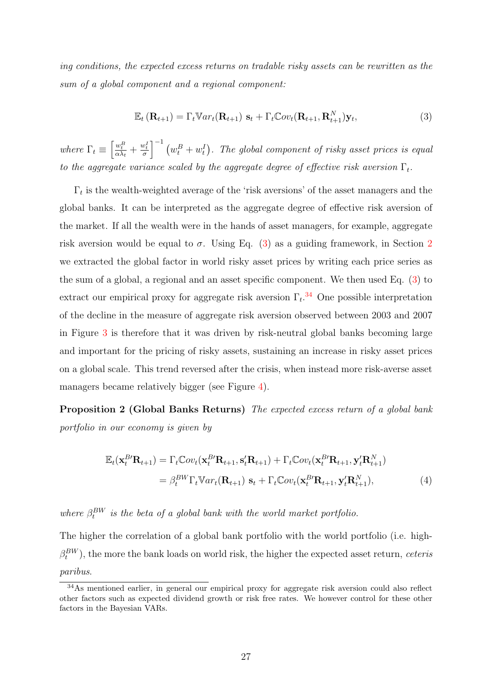ing conditions, the expected excess returns on tradable risky assets can be rewritten as the sum of a global component and a regional component:

<span id="page-27-0"></span>
$$
\mathbb{E}_t\left(\mathbf{R}_{t+1}\right) = \Gamma_t \mathbb{V}ar_t(\mathbf{R}_{t+1})\ \mathbf{s}_t + \Gamma_t \mathbb{C}ov_t(\mathbf{R}_{t+1}, \mathbf{R}_{t+1}^N)\mathbf{y}_t,\tag{3}
$$

where  $\Gamma_t \equiv \left[\frac{w_t^B}{\alpha \lambda_t} + \frac{w_t^I}{\sigma}\right]^{-1} (w_t^B + w_t^I)$ . The global component of risky asset prices is equal to the aggregate variance scaled by the aggregate degree of effective risk aversion  $\Gamma_t$ .

 $\Gamma_t$  is the wealth-weighted average of the 'risk aversions' of the asset managers and the global banks. It can be interpreted as the aggregate degree of effective risk aversion of the market. If all the wealth were in the hands of asset managers, for example, aggregate risk aversion would be equal to  $\sigma$ . Using Eq. [\(3\)](#page-27-0) as a guiding framework, in Section [2](#page-5-0) we extracted the global factor in world risky asset prices by writing each price series as the sum of a global, a regional and an asset specific component. We then used Eq. [\(3\)](#page-27-0) to extract our empirical proxy for aggregate risk aversion  $\Gamma_t$ .<sup>[34](#page-27-1)</sup> One possible interpretation of the decline in the measure of aggregate risk aversion observed between 2003 and 2007 in Figure [3](#page-8-3) is therefore that it was driven by risk-neutral global banks becoming large and important for the pricing of risky assets, sustaining an increase in risky asset prices on a global scale. This trend reversed after the crisis, when instead more risk-averse asset managers became relatively bigger (see Figure [4\)](#page-9-2).

Proposition 2 (Global Banks Returns) The expected excess return of a global bank portfolio in our economy is given by

<span id="page-27-2"></span>
$$
\mathbb{E}_t(\mathbf{x}_t^{B'}\mathbf{R}_{t+1}) = \Gamma_t \mathbb{C}ov_t(\mathbf{x}_t^{B'}\mathbf{R}_{t+1}, \mathbf{s}_t'\mathbf{R}_{t+1}) + \Gamma_t \mathbb{C}ov_t(\mathbf{x}_t^{B'}\mathbf{R}_{t+1}, \mathbf{y}_t'\mathbf{R}_{t+1}^N)
$$
  
=  $\beta_t^{BW} \Gamma_t \mathbb{V} ar_t(\mathbf{R}_{t+1}) \mathbf{s}_t + \Gamma_t \mathbb{C}ov_t(\mathbf{x}_t^{B'}\mathbf{R}_{t+1}, \mathbf{y}_t'\mathbf{R}_{t+1}^N),$  (4)

where  $\beta_t^{BW}$  is the beta of a global bank with the world market portfolio.

The higher the correlation of a global bank portfolio with the world portfolio (i.e. high- $\beta_t^{BW}$ ), the more the bank loads on world risk, the higher the expected asset return, *ceteris* paribus.

<span id="page-27-1"></span><sup>34</sup>As mentioned earlier, in general our empirical proxy for aggregate risk aversion could also reflect other factors such as expected dividend growth or risk free rates. We however control for these other factors in the Bayesian VARs.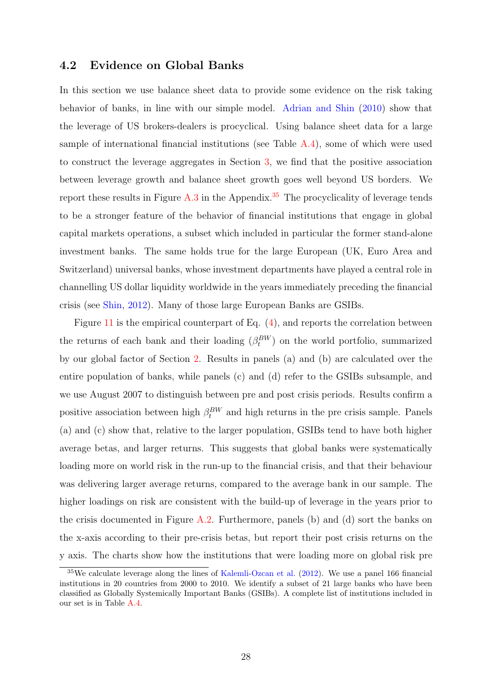#### <span id="page-28-0"></span>4.2 Evidence on Global Banks

In this section we use balance sheet data to provide some evidence on the risk taking behavior of banks, in line with our simple model. [Adrian and Shin](#page-31-13) [\(2010\)](#page-31-13) show that the leverage of US brokers-dealers is procyclical. Using balance sheet data for a large sample of international financial institutions (see Table [A.4\)](#page-40-0), some of which were used to construct the leverage aggregates in Section [3,](#page-10-0) we find that the positive association between leverage growth and balance sheet growth goes well beyond US borders. We report these results in Figure  $A.3$  in the Appendix.<sup>[35](#page-28-1)</sup> The procyclicality of leverage tends to be a stronger feature of the behavior of financial institutions that engage in global capital markets operations, a subset which included in particular the former stand-alone investment banks. The same holds true for the large European (UK, Euro Area and Switzerland) universal banks, whose investment departments have played a central role in channelling US dollar liquidity worldwide in the years immediately preceding the financial crisis (see [Shin,](#page-35-4) [2012\)](#page-35-4). Many of those large European Banks are GSIBs.

Figure [11](#page-29-1) is the empirical counterpart of Eq. [\(4\)](#page-27-2), and reports the correlation between the returns of each bank and their loading  $(\beta_t^{BW})$  on the world portfolio, summarized by our global factor of Section [2.](#page-5-0) Results in panels (a) and (b) are calculated over the entire population of banks, while panels (c) and (d) refer to the GSIBs subsample, and we use August 2007 to distinguish between pre and post crisis periods. Results confirm a positive association between high  $\beta_t^{BW}$  and high returns in the pre crisis sample. Panels (a) and (c) show that, relative to the larger population, GSIBs tend to have both higher average betas, and larger returns. This suggests that global banks were systematically loading more on world risk in the run-up to the financial crisis, and that their behaviour was delivering larger average returns, compared to the average bank in our sample. The higher loadings on risk are consistent with the build-up of leverage in the years prior to the crisis documented in Figure [A.2.](#page-38-0) Furthermore, panels (b) and (d) sort the banks on the x-axis according to their pre-crisis betas, but report their post crisis returns on the y axis. The charts show how the institutions that were loading more on global risk pre

<span id="page-28-1"></span> $35\text{We calculate leverage along the lines of Kalemli-Ozcan et al. (2012). We use a panel 166 financial$  $35\text{We calculate leverage along the lines of Kalemli-Ozcan et al. (2012). We use a panel 166 financial$  $35\text{We calculate leverage along the lines of Kalemli-Ozcan et al. (2012). We use a panel 166 financial$  $35\text{We calculate leverage along the lines of Kalemli-Ozcan et al. (2012). We use a panel 166 financial$  $35\text{We calculate leverage along the lines of Kalemli-Ozcan et al. (2012). We use a panel 166 financial$ institutions in 20 countries from 2000 to 2010. We identify a subset of 21 large banks who have been classified as Globally Systemically Important Banks (GSIBs). A complete list of institutions included in our set is in Table [A.4.](#page-40-0)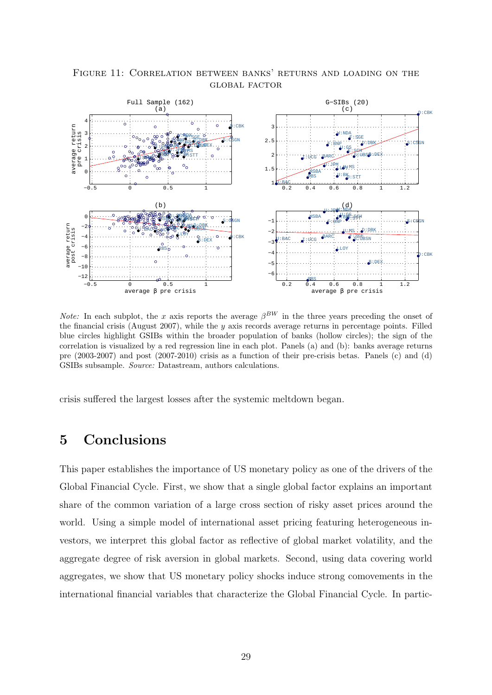

<span id="page-29-1"></span>Figure 11: Correlation between banks' returns and loading on the global factor

*Note:* In each subplot, the x axis reports the average  $\beta^{BW}$  in the three years preceding the onset of the financial crisis (August 2007), while the  $y$  axis records average returns in percentage points. Filled blue circles highlight GSIBs within the broader population of banks (hollow circles); the sign of the correlation is visualized by a red regression line in each plot. Panels (a) and (b): banks average returns pre (2003-2007) and post (2007-2010) crisis as a function of their pre-crisis betas. Panels (c) and (d) GSIBs subsample. Source: Datastream, authors calculations.

crisis suffered the largest losses after the systemic meltdown began.

# <span id="page-29-0"></span>5 Conclusions

This paper establishes the importance of US monetary policy as one of the drivers of the Global Financial Cycle. First, we show that a single global factor explains an important share of the common variation of a large cross section of risky asset prices around the world. Using a simple model of international asset pricing featuring heterogeneous investors, we interpret this global factor as reflective of global market volatility, and the aggregate degree of risk aversion in global markets. Second, using data covering world aggregates, we show that US monetary policy shocks induce strong comovements in the international financial variables that characterize the Global Financial Cycle. In partic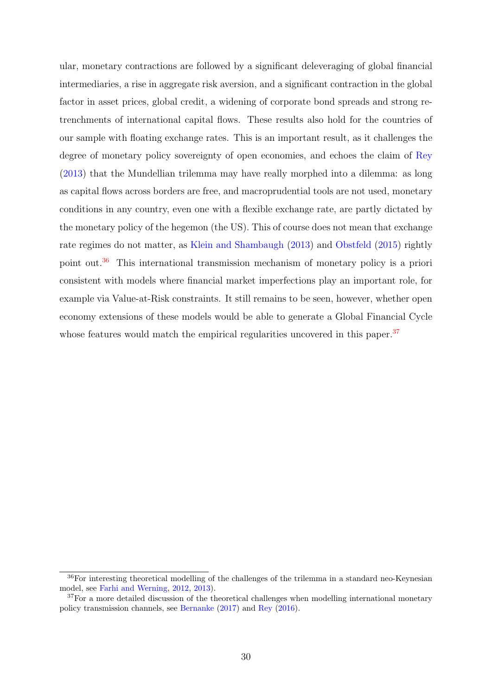ular, monetary contractions are followed by a significant deleveraging of global financial intermediaries, a rise in aggregate risk aversion, and a significant contraction in the global factor in asset prices, global credit, a widening of corporate bond spreads and strong retrenchments of international capital flows. These results also hold for the countries of our sample with floating exchange rates. This is an important result, as it challenges the degree of monetary policy sovereignty of open economies, and echoes the claim of [Rey](#page-34-1) [\(2013\)](#page-34-1) that the Mundellian trilemma may have really morphed into a dilemma: as long as capital flows across borders are free, and macroprudential tools are not used, monetary conditions in any country, even one with a flexible exchange rate, are partly dictated by the monetary policy of the hegemon (the US). This of course does not mean that exchange rate regimes do not matter, as [Klein and Shambaugh](#page-33-13) [\(2013\)](#page-33-13) and [Obstfeld](#page-34-11) [\(2015\)](#page-34-11) rightly point out.[36](#page-30-0) This international transmission mechanism of monetary policy is a priori consistent with models where financial market imperfections play an important role, for example via Value-at-Risk constraints. It still remains to be seen, however, whether open economy extensions of these models would be able to generate a Global Financial Cycle whose features would match the empirical regularities uncovered in this paper.<sup>[37](#page-30-1)</sup>

<span id="page-30-0"></span><sup>36</sup>For interesting theoretical modelling of the challenges of the trilemma in a standard neo-Keynesian model, see [Farhi and Werning,](#page-32-10) [2012,](#page-32-10) [2013\)](#page-32-11).

<span id="page-30-1"></span> $37$  For a more detailed discussion of the theoretical challenges when modelling international monetary policy transmission channels, see [Bernanke](#page-31-3) [\(2017\)](#page-31-3) and [Rey](#page-34-2) [\(2016\)](#page-34-2).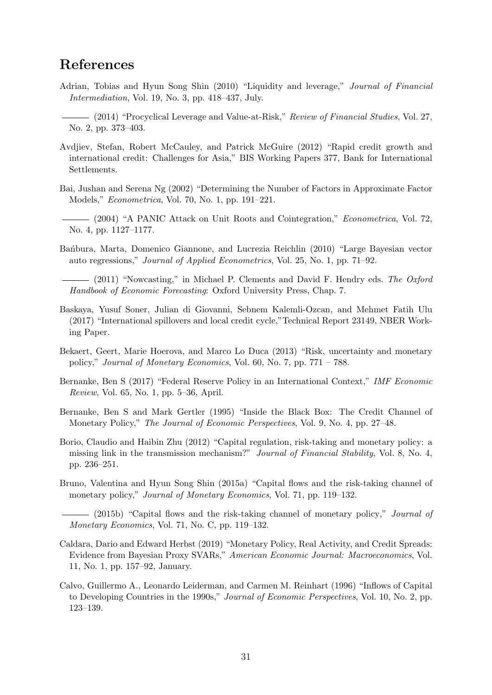# References

- <span id="page-31-13"></span>Adrian, Tobias and Hyun Song Shin (2010) "Liquidity and leverage," Journal of Financial Intermediation, Vol. 19, No. 3, pp. 418–437, July.
- <span id="page-31-14"></span>(2014) "Procyclical Leverage and Value-at-Risk," Review of Financial Studies, Vol. 27, No. 2, pp. 373–403.
- <span id="page-31-12"></span>Avdjiev, Stefan, Robert McCauley, and Patrick McGuire (2012) "Rapid credit growth and international credit: Challenges for Asia," BIS Working Papers 377, Bank for International Settlements.
- <span id="page-31-9"></span>Bai, Jushan and Serena Ng (2002) "Determining the Number of Factors in Approximate Factor Models," Econometrica, Vol. 70, No. 1, pp. 191–221.
- <span id="page-31-10"></span>(2004) "A PANIC Attack on Unit Roots and Cointegration," Econometrica, Vol. 72, No. 4, pp. 1127–1177.
- <span id="page-31-11"></span>Bañbura, Marta, Domenico Giannone, and Lucrezia Reichlin (2010) "Large Bayesian vector auto regressions," Journal of Applied Econometrics, Vol. 25, No. 1, pp. 71–92.

<span id="page-31-15"></span> $-$  (2011) "Nowcasting," in Michael P. Clements and David F. Hendry eds. The Oxford Handbook of Economic Forecasting: Oxford University Press, Chap. 7.

- <span id="page-31-7"></span>Baskaya, Yusuf Soner, Julian di Giovanni, Sebnem Kalemli-Ozcan, and Mehmet Fatih Ulu (2017) "International spillovers and local credit cycle,"Technical Report 23149, NBER Working Paper.
- <span id="page-31-5"></span>Bekaert, Geert, Marie Hoerova, and Marco Lo Duca (2013) "Risk, uncertainty and monetary policy," Journal of Monetary Economics, Vol. 60, No. 7, pp. 771 – 788.
- <span id="page-31-3"></span>Bernanke, Ben S (2017) "Federal Reserve Policy in an International Context," IMF Economic Review, Vol. 65, No. 1, pp. 5–36, April.
- <span id="page-31-0"></span>Bernanke, Ben S and Mark Gertler (1995) "Inside the Black Box: The Credit Channel of Monetary Policy," The Journal of Economic Perspectives, Vol. 9, No. 4, pp. 27–48.
- <span id="page-31-1"></span>Borio, Claudio and Haibin Zhu (2012) "Capital regulation, risk-taking and monetary policy: a missing link in the transmission mechanism?" Journal of Financial Stability, Vol. 8, No. 4, pp. 236–251.
- <span id="page-31-2"></span>Bruno, Valentina and Hyun Song Shin (2015a) "Capital flows and the risk-taking channel of monetary policy," Journal of Monetary Economics, Vol. 71, pp. 119–132.
- <span id="page-31-6"></span>- (2015b) "Capital flows and the risk-taking channel of monetary policy," *Journal of* Monetary Economics, Vol. 71, No. C, pp. 119–132.
- <span id="page-31-8"></span>Caldara, Dario and Edward Herbst (2019) "Monetary Policy, Real Activity, and Credit Spreads: Evidence from Bayesian Proxy SVARs," American Economic Journal: Macroeconomics, Vol. 11, No. 1, pp. 157–92, January.
- <span id="page-31-4"></span>Calvo, Guillermo A., Leonardo Leiderman, and Carmen M. Reinhart (1996) "Inflows of Capital to Developing Countries in the 1990s," Journal of Economic Perspectives, Vol. 10, No. 2, pp. 123–139.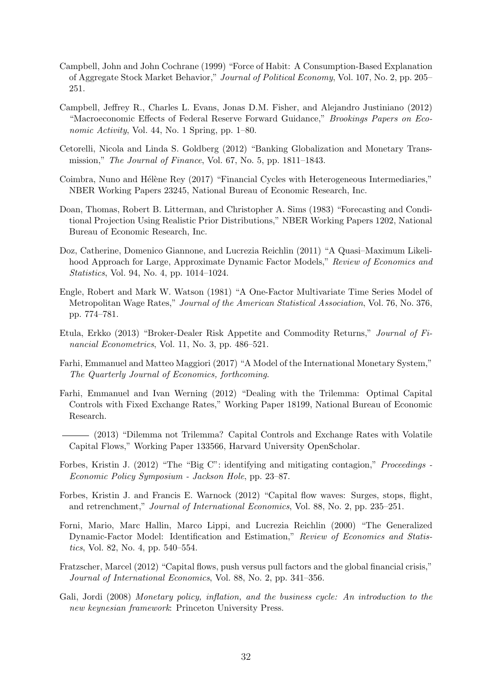- <span id="page-32-9"></span>Campbell, John and John Cochrane (1999) "Force of Habit: A Consumption-Based Explanation of Aggregate Stock Market Behavior," Journal of Political Economy, Vol. 107, No. 2, pp. 205– 251.
- <span id="page-32-7"></span>Campbell, Jeffrey R., Charles L. Evans, Jonas D.M. Fisher, and Alejandro Justiniano (2012) "Macroeconomic Effects of Federal Reserve Forward Guidance," Brookings Papers on Economic Activity, Vol. 44, No. 1 Spring, pp. 1–80.
- <span id="page-32-5"></span>Cetorelli, Nicola and Linda S. Goldberg (2012) "Banking Globalization and Monetary Transmission," The Journal of Finance, Vol. 67, No. 5, pp. 1811–1843.
- <span id="page-32-2"></span>Coimbra, Nuno and Hélène Rey (2017) "Financial Cycles with Heterogeneous Intermediaries," NBER Working Papers 23245, National Bureau of Economic Research, Inc.
- <span id="page-32-15"></span>Doan, Thomas, Robert B. Litterman, and Christopher A. Sims (1983) "Forecasting and Conditional Projection Using Realistic Prior Distributions," NBER Working Papers 1202, National Bureau of Economic Research, Inc.
- <span id="page-32-13"></span>Doz, Catherine, Domenico Giannone, and Lucrezia Reichlin (2011) "A Quasi–Maximum Likelihood Approach for Large, Approximate Dynamic Factor Models," Review of Economics and Statistics, Vol. 94, No. 4, pp. 1014–1024.
- <span id="page-32-14"></span>Engle, Robert and Mark W. Watson (1981) "A One-Factor Multivariate Time Series Model of Metropolitan Wage Rates," Journal of the American Statistical Association, Vol. 76, No. 376, pp. 774–781.
- <span id="page-32-8"></span>Etula, Erkko (2013) "Broker-Dealer Risk Appetite and Commodity Returns," Journal of Financial Econometrics, Vol. 11, No. 3, pp. 486–521.
- <span id="page-32-0"></span>Farhi, Emmanuel and Matteo Maggiori (2017) "A Model of the International Monetary System," The Quarterly Journal of Economics, forthcoming.
- <span id="page-32-10"></span>Farhi, Emmanuel and Ivan Werning (2012) "Dealing with the Trilemma: Optimal Capital Controls with Fixed Exchange Rates," Working Paper 18199, National Bureau of Economic Research.
- <span id="page-32-11"></span>(2013) "Dilemma not Trilemma? Capital Controls and Exchange Rates with Volatile Capital Flows," Working Paper 133566, Harvard University OpenScholar.
- <span id="page-32-12"></span>Forbes, Kristin J. (2012) "The "Big C": identifying and mitigating contagion," Proceedings - Economic Policy Symposium - Jackson Hole, pp. 23–87.
- <span id="page-32-4"></span>Forbes, Kristin J. and Francis E. Warnock (2012) "Capital flow waves: Surges, stops, flight, and retrenchment," Journal of International Economics, Vol. 88, No. 2, pp. 235–251.
- <span id="page-32-6"></span>Forni, Mario, Marc Hallin, Marco Lippi, and Lucrezia Reichlin (2000) "The Generalized Dynamic-Factor Model: Identification and Estimation," Review of Economics and Statistics, Vol. 82, No. 4, pp. 540–554.
- <span id="page-32-3"></span>Fratzscher, Marcel (2012) "Capital flows, push versus pull factors and the global financial crisis," Journal of International Economics, Vol. 88, No. 2, pp. 341–356.
- <span id="page-32-1"></span>Gali, Jordi (2008) Monetary policy, inflation, and the business cycle: An introduction to the new keynesian framework: Princeton University Press.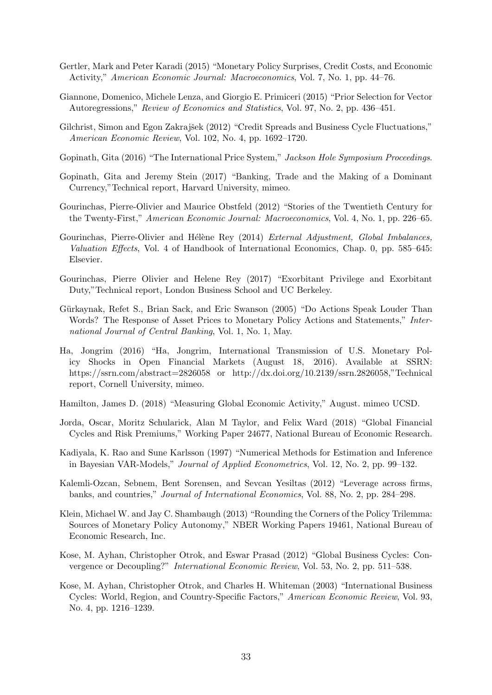- <span id="page-33-3"></span>Gertler, Mark and Peter Karadi (2015) "Monetary Policy Surprises, Credit Costs, and Economic Activity," American Economic Journal: Macroeconomics, Vol. 7, No. 1, pp. 44–76.
- <span id="page-33-16"></span>Giannone, Domenico, Michele Lenza, and Giorgio E. Primiceri (2015) "Prior Selection for Vector Autoregressions," Review of Economics and Statistics, Vol. 97, No. 2, pp. 436–451.
- <span id="page-33-9"></span>Gilchrist, Simon and Egon Zakrajšek (2012) "Credit Spreads and Business Cycle Fluctuations," American Economic Review, Vol. 102, No. 4, pp. 1692–1720.
- <span id="page-33-5"></span>Gopinath, Gita (2016) "The International Price System," Jackson Hole Symposium Proceedings.
- <span id="page-33-6"></span>Gopinath, Gita and Jeremy Stein (2017) "Banking, Trade and the Making of a Dominant Currency,"Technical report, Harvard University, mimeo.
- <span id="page-33-14"></span>Gourinchas, Pierre-Olivier and Maurice Obstfeld (2012) "Stories of the Twentieth Century for the Twenty-First," American Economic Journal: Macroeconomics, Vol. 4, No. 1, pp. 226–65.
- <span id="page-33-1"></span>Gourinchas, Pierre-Olivier and Hélène Rey (2014) External Adjustment, Global Imbalances, Valuation Effects, Vol. 4 of Handbook of International Economics, Chap. 0, pp. 585–645: Elsevier.
- <span id="page-33-0"></span>Gourinchas, Pierre Olivier and Helene Rey (2017) "Exorbitant Privilege and Exorbitant Duty,"Technical report, London Business School and UC Berkeley.
- <span id="page-33-2"></span>Gürkaynak, Refet S., Brian Sack, and Eric Swanson (2005) "Do Actions Speak Louder Than Words? The Response of Asset Prices to Monetary Policy Actions and Statements," International Journal of Central Banking, Vol. 1, No. 1, May.
- <span id="page-33-11"></span>Ha, Jongrim (2016) "Ha, Jongrim, International Transmission of U.S. Monetary Policy Shocks in Open Financial Markets (August 18, 2016). Available at SSRN: https://ssrn.com/abstract=2826058 or http://dx.doi.org/10.2139/ssrn.2826058,"Technical report, Cornell University, mimeo.
- <span id="page-33-10"></span>Hamilton, James D. (2018) "Measuring Global Economic Activity," August. mimeo UCSD.
- <span id="page-33-4"></span>Jorda, Oscar, Moritz Schularick, Alan M Taylor, and Felix Ward (2018) "Global Financial Cycles and Risk Premiums," Working Paper 24677, National Bureau of Economic Research.
- <span id="page-33-15"></span>Kadiyala, K. Rao and Sune Karlsson (1997) "Numerical Methods for Estimation and Inference in Bayesian VAR-Models," Journal of Applied Econometrics, Vol. 12, No. 2, pp. 99–132.
- <span id="page-33-12"></span>Kalemli-Ozcan, Sebnem, Bent Sorensen, and Sevcan Yesiltas (2012) "Leverage across firms, banks, and countries," Journal of International Economics, Vol. 88, No. 2, pp. 284–298.
- <span id="page-33-13"></span>Klein, Michael W. and Jay C. Shambaugh (2013) "Rounding the Corners of the Policy Trilemma: Sources of Monetary Policy Autonomy," NBER Working Papers 19461, National Bureau of Economic Research, Inc.
- <span id="page-33-8"></span>Kose, M. Ayhan, Christopher Otrok, and Eswar Prasad (2012) "Global Business Cycles: Convergence or Decoupling?" International Economic Review, Vol. 53, No. 2, pp. 511–538.
- <span id="page-33-7"></span>Kose, M. Ayhan, Christopher Otrok, and Charles H. Whiteman (2003) "International Business Cycles: World, Region, and Country-Specific Factors," American Economic Review, Vol. 93, No. 4, pp. 1216–1239.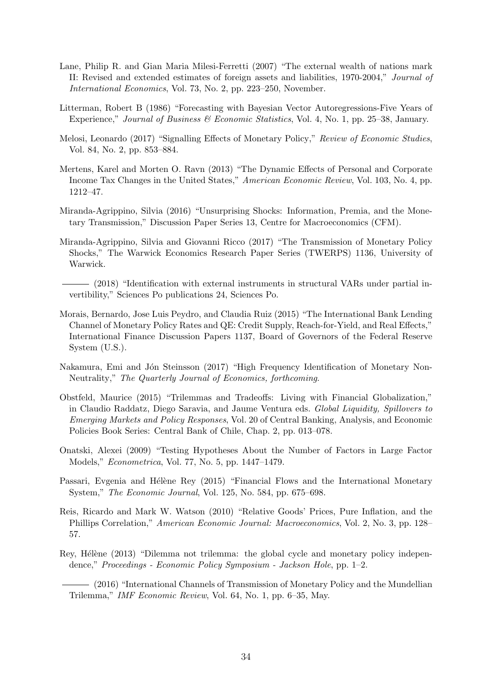- <span id="page-34-0"></span>Lane, Philip R. and Gian Maria Milesi-Ferretti (2007) "The external wealth of nations mark II: Revised and extended estimates of foreign assets and liabilities, 1970-2004," Journal of International Economics, Vol. 73, No. 2, pp. 223–250, November.
- <span id="page-34-14"></span>Litterman, Robert B (1986) "Forecasting with Bayesian Vector Autoregressions-Five Years of Experience," Journal of Business & Economic Statistics, Vol. 4, No. 1, pp. 25–38, January.
- <span id="page-34-10"></span>Melosi, Leonardo (2017) "Signalling Effects of Monetary Policy," Review of Economic Studies, Vol. 84, No. 2, pp. 853–884.
- <span id="page-34-7"></span>Mertens, Karel and Morten O. Ravn (2013) "The Dynamic Effects of Personal and Corporate Income Tax Changes in the United States," American Economic Review, Vol. 103, No. 4, pp. 1212–47.
- <span id="page-34-3"></span>Miranda-Agrippino, Silvia (2016) "Unsurprising Shocks: Information, Premia, and the Monetary Transmission," Discussion Paper Series 13, Centre for Macroeconomics (CFM).
- <span id="page-34-8"></span>Miranda-Agrippino, Silvia and Giovanni Ricco (2017) "The Transmission of Monetary Policy Shocks," The Warwick Economics Research Paper Series (TWERPS) 1136, University of Warwick.
	- (2018) "Identification with external instruments in structural VARs under partial invertibility," Sciences Po publications 24, Sciences Po.
- <span id="page-34-6"></span><span id="page-34-4"></span>Morais, Bernardo, Jose Luis Peydro, and Claudia Ruiz (2015) "The International Bank Lending Channel of Monetary Policy Rates and QE: Credit Supply, Reach-for-Yield, and Real Effects," International Finance Discussion Papers 1137, Board of Governors of the Federal Reserve System (U.S.).
- <span id="page-34-9"></span>Nakamura, Emi and Jón Steinsson (2017) "High Frequency Identification of Monetary Non-Neutrality," The Quarterly Journal of Economics, forthcoming.
- <span id="page-34-11"></span>Obstfeld, Maurice (2015) "Trilemmas and Tradeoffs: Living with Financial Globalization," in Claudio Raddatz, Diego Saravia, and Jaume Ventura eds. Global Liquidity, Spillovers to Emerging Markets and Policy Responses, Vol. 20 of Central Banking, Analysis, and Economic Policies Book Series: Central Bank of Chile, Chap. 2, pp. 013–078.
- <span id="page-34-13"></span>Onatski, Alexei (2009) "Testing Hypotheses About the Number of Factors in Large Factor Models," Econometrica, Vol. 77, No. 5, pp. 1447–1479.
- <span id="page-34-5"></span>Passari, Evgenia and Hélène Rey (2015) "Financial Flows and the International Monetary System," The Economic Journal, Vol. 125, No. 584, pp. 675–698.
- <span id="page-34-12"></span>Reis, Ricardo and Mark W. Watson (2010) "Relative Goods' Prices, Pure Inflation, and the Phillips Correlation," American Economic Journal: Macroeconomics, Vol. 2, No. 3, pp. 128– 57.
- <span id="page-34-1"></span>Rey, Hélène (2013) "Dilemma not trilemma: the global cycle and monetary policy independence," Proceedings - Economic Policy Symposium - Jackson Hole, pp. 1–2.

<span id="page-34-2"></span>(2016) "International Channels of Transmission of Monetary Policy and the Mundellian Trilemma," IMF Economic Review, Vol. 64, No. 1, pp. 6–35, May.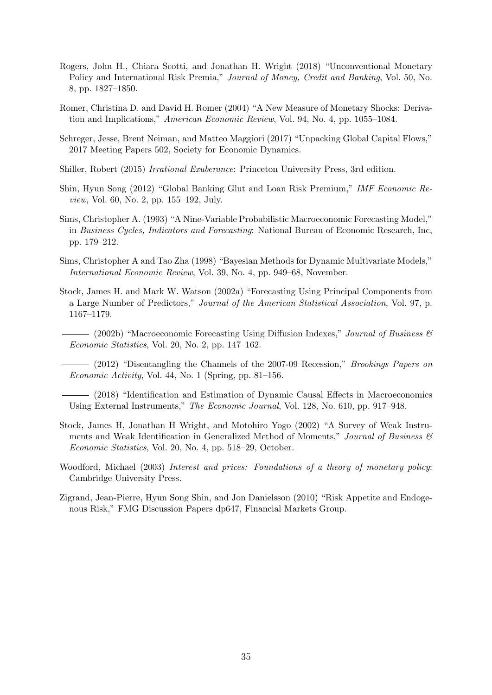- <span id="page-35-1"></span>Rogers, John H., Chiara Scotti, and Jonathan H. Wright (2018) "Unconventional Monetary Policy and International Risk Premia," Journal of Money, Credit and Banking, Vol. 50, No. 8, pp. 1827–1850.
- <span id="page-35-8"></span>Romer, Christina D. and David H. Romer (2004) "A New Measure of Monetary Shocks: Derivation and Implications," American Economic Review, Vol. 94, No. 4, pp. 1055–1084.
- <span id="page-35-5"></span>Schreger, Jesse, Brent Neiman, and Matteo Maggiori (2017) "Unpacking Global Capital Flows," 2017 Meeting Papers 502, Society for Economic Dynamics.
- <span id="page-35-10"></span>Shiller, Robert (2015) Irrational Exuberance: Princeton University Press, 3rd edition.
- <span id="page-35-4"></span>Shin, Hyun Song (2012) "Global Banking Glut and Loan Risk Premium," IMF Economic Review, Vol. 60, No. 2, pp. 155–192, July.
- <span id="page-35-13"></span>Sims, Christopher A. (1993) "A Nine-Variable Probabilistic Macroeconomic Forecasting Model," in Business Cycles, Indicators and Forecasting: National Bureau of Economic Research, Inc, pp. 179–212.
- <span id="page-35-12"></span>Sims, Christopher A and Tao Zha (1998) "Bayesian Methods for Dynamic Multivariate Models," International Economic Review, Vol. 39, No. 4, pp. 949–68, November.
- <span id="page-35-3"></span><span id="page-35-2"></span>Stock, James H. and Mark W. Watson (2002a) "Forecasting Using Principal Components from a Large Number of Predictors," Journal of the American Statistical Association, Vol. 97, p. 1167–1179.
	- $-$  (2002b) "Macroeconomic Forecasting Using Diffusion Indexes," *Journal of Business*  $\mathscr{B}$ Economic Statistics, Vol. 20, No. 2, pp. 147–162.

<span id="page-35-6"></span> $-$  (2012) "Disentangling the Channels of the 2007-09 Recession," *Brookings Papers on* Economic Activity, Vol. 44, No. 1 (Spring, pp. 81–156.

<span id="page-35-7"></span>(2018) "Identification and Estimation of Dynamic Causal Effects in Macroeconomics Using External Instruments," The Economic Journal, Vol. 128, No. 610, pp. 917–948.

- <span id="page-35-9"></span>Stock, James H, Jonathan H Wright, and Motohiro Yogo (2002) "A Survey of Weak Instruments and Weak Identification in Generalized Method of Moments," Journal of Business  $\mathcal{C}$ Economic Statistics, Vol. 20, No. 4, pp. 518–29, October.
- <span id="page-35-0"></span>Woodford, Michael (2003) Interest and prices: Foundations of a theory of monetary policy: Cambridge University Press.
- <span id="page-35-11"></span>Zigrand, Jean-Pierre, Hyun Song Shin, and Jon Danielsson (2010) "Risk Appetite and Endogenous Risk," FMG Discussion Papers dp647, Financial Markets Group.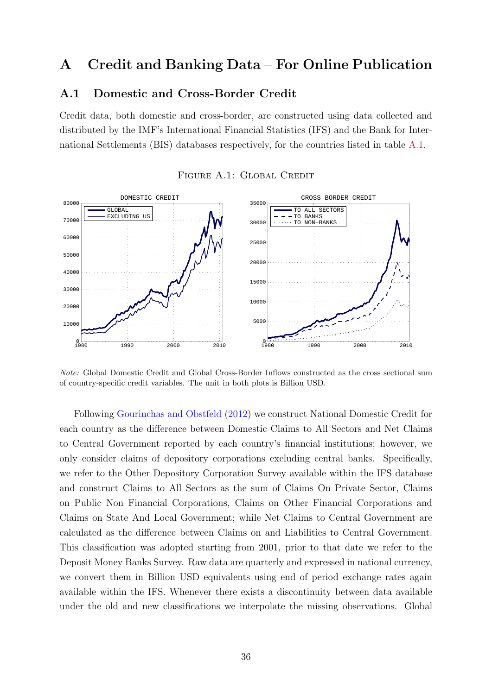## <span id="page-36-0"></span>A Credit and Banking Data – For Online Publication

#### A.1 Domestic and Cross-Border Credit

Credit data, both domestic and cross-border, are constructed using data collected and distributed by the IMF's International Financial Statistics (IFS) and the Bank for International Settlements (BIS) databases respectively, for the countries listed in table [A.1.](#page-37-0)

<span id="page-36-1"></span>

#### FIGURE A.1: GLOBAL CREDIT

Note: Global Domestic Credit and Global Cross-Border Inflows constructed as the cross sectional sum of country-specific credit variables. The unit in both plots is Billion USD.

Following [Gourinchas and Obstfeld](#page-33-14) [\(2012\)](#page-33-14) we construct National Domestic Credit for each country as the difference between Domestic Claims to All Sectors and Net Claims to Central Government reported by each country's financial institutions; however, we only consider claims of depository corporations excluding central banks. Specifically, we refer to the Other Depository Corporation Survey available within the IFS database and construct Claims to All Sectors as the sum of Claims On Private Sector, Claims on Public Non Financial Corporations, Claims on Other Financial Corporations and Claims on State And Local Government; while Net Claims to Central Government are calculated as the difference between Claims on and Liabilities to Central Government. This classification was adopted starting from 2001, prior to that date we refer to the Deposit Money Banks Survey. Raw data are quarterly and expressed in national currency, we convert them in Billion USD equivalents using end of period exchange rates again available within the IFS. Whenever there exists a discontinuity between data available under the old and new classifications we interpolate the missing observations. Global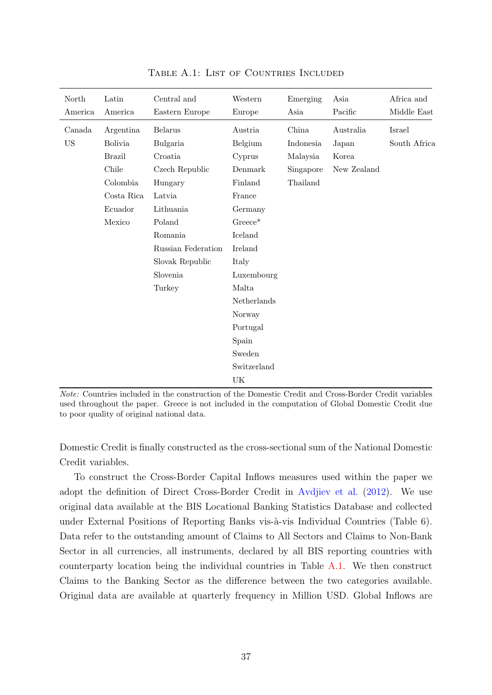<span id="page-37-0"></span>

| North<br>America | Latin<br>America | Central and<br>Eastern Europe | Western<br>Europe | Emerging<br>Asia | Asia<br>Pacific | Africa and<br>Middle East |
|------------------|------------------|-------------------------------|-------------------|------------------|-----------------|---------------------------|
| Canada           | Argentina        | <b>Belarus</b>                | Austria           | China            | Australia       | Israel                    |
| <b>US</b>        | <b>Bolivia</b>   | Bulgaria                      | Belgium           | Indonesia        | Japan           | South Africa              |
|                  | <b>Brazil</b>    | Croatia                       | Cyprus            | Malaysia         | Korea           |                           |
|                  | Chile            | Czech Republic                | Denmark           | Singapore        | New Zealand     |                           |
|                  | Colombia         | Hungary                       | Finland           | Thailand         |                 |                           |
|                  | Costa Rica       | Latvia                        | France            |                  |                 |                           |
|                  | Ecuador          | Lithuania                     | Germany           |                  |                 |                           |
|                  | Mexico           | Poland                        | $Greeze^*$        |                  |                 |                           |
|                  |                  | Romania                       | Iceland           |                  |                 |                           |
|                  |                  | Russian Federation            | Ireland           |                  |                 |                           |
|                  |                  | Slovak Republic               | Italy             |                  |                 |                           |
|                  |                  | Slovenia                      | Luxembourg        |                  |                 |                           |
|                  |                  | Turkey                        | Malta             |                  |                 |                           |
|                  |                  |                               | Netherlands       |                  |                 |                           |
|                  |                  |                               | Norway            |                  |                 |                           |
|                  |                  |                               | Portugal          |                  |                 |                           |
|                  |                  |                               | Spain             |                  |                 |                           |
|                  |                  |                               | Sweden            |                  |                 |                           |
|                  |                  |                               | Switzerland       |                  |                 |                           |
|                  |                  |                               | UK                |                  |                 |                           |

TABLE A.1: LIST OF COUNTRIES INCLUDED

Note: Countries included in the construction of the Domestic Credit and Cross-Border Credit variables used throughout the paper. Greece is not included in the computation of Global Domestic Credit due to poor quality of original national data.

Domestic Credit is finally constructed as the cross-sectional sum of the National Domestic Credit variables.

To construct the Cross-Border Capital Inflows measures used within the paper we adopt the definition of Direct Cross-Border Credit in [Avdjiev et al.](#page-31-12) [\(2012\)](#page-31-12). We use original data available at the BIS Locational Banking Statistics Database and collected under External Positions of Reporting Banks vis-à-vis Individual Countries (Table 6). Data refer to the outstanding amount of Claims to All Sectors and Claims to Non-Bank Sector in all currencies, all instruments, declared by all BIS reporting countries with counterparty location being the individual countries in Table [A.1.](#page-37-0) We then construct Claims to the Banking Sector as the difference between the two categories available. Original data are available at quarterly frequency in Million USD. Global Inflows are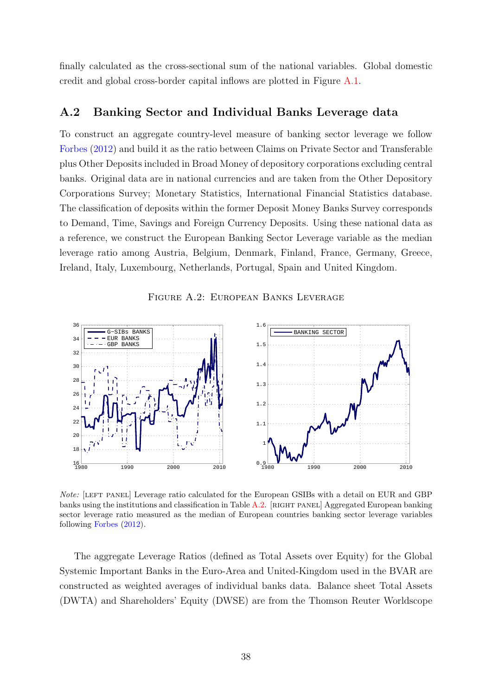finally calculated as the cross-sectional sum of the national variables. Global domestic credit and global cross-border capital inflows are plotted in Figure [A.1.](#page-36-1)

#### A.2 Banking Sector and Individual Banks Leverage data

To construct an aggregate country-level measure of banking sector leverage we follow [Forbes](#page-32-12) [\(2012\)](#page-32-12) and build it as the ratio between Claims on Private Sector and Transferable plus Other Deposits included in Broad Money of depository corporations excluding central banks. Original data are in national currencies and are taken from the Other Depository Corporations Survey; Monetary Statistics, International Financial Statistics database. The classification of deposits within the former Deposit Money Banks Survey corresponds to Demand, Time, Savings and Foreign Currency Deposits. Using these national data as a reference, we construct the European Banking Sector Leverage variable as the median leverage ratio among Austria, Belgium, Denmark, Finland, France, Germany, Greece, Ireland, Italy, Luxembourg, Netherlands, Portugal, Spain and United Kingdom.



<span id="page-38-0"></span>

Note: [LEFT PANEL] Leverage ratio calculated for the European GSIBs with a detail on EUR and GBP banks using the institutions and classification in Table [A.2.](#page-39-0) [RIGHT PANEL] Aggregated European banking sector leverage ratio measured as the median of European countries banking sector leverage variables following [Forbes](#page-32-12) [\(2012\)](#page-32-12).

The aggregate Leverage Ratios (defined as Total Assets over Equity) for the Global Systemic Important Banks in the Euro-Area and United-Kingdom used in the BVAR are constructed as weighted averages of individual banks data. Balance sheet Total Assets (DWTA) and Shareholders' Equity (DWSE) are from the Thomson Reuter Worldscope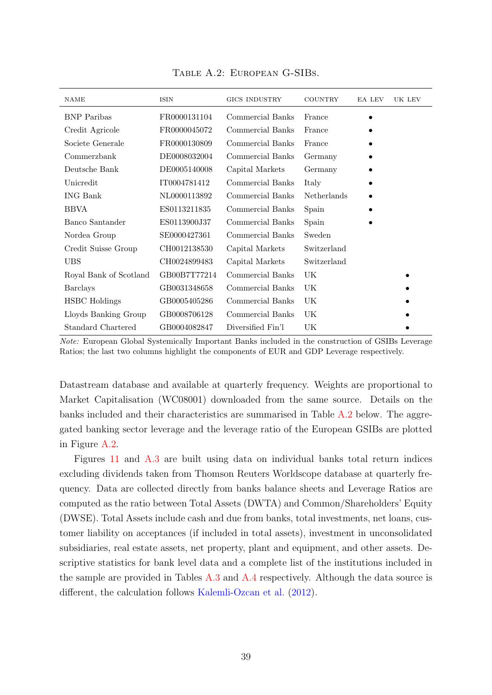<span id="page-39-0"></span>

| <b>NAME</b>            | <b>ISIN</b>  | <b>GICS INDUSTRY</b> | <b>COUNTRY</b> | EA LEV | UK LEV |
|------------------------|--------------|----------------------|----------------|--------|--------|
| <b>BNP</b> Paribas     | FR0000131104 | Commercial Banks     | France         |        |        |
| Credit Agricole        | FR0000045072 | Commercial Banks     | France         |        |        |
| Societe Generale       | FR0000130809 | Commercial Banks     | France         |        |        |
| Commerzbank            | DE0008032004 | Commercial Banks     | Germany        |        |        |
| Deutsche Bank          | DE0005140008 | Capital Markets      | Germany        |        |        |
| Unicredit              | IT0004781412 | Commercial Banks     | Italy          |        |        |
| <b>ING Bank</b>        | NL0000113892 | Commercial Banks     | Netherlands    |        |        |
| <b>BBVA</b>            | ES0113211835 | Commercial Banks     | Spain          |        |        |
| Banco Santander        | ES0113900J37 | Commercial Banks     | Spain          |        |        |
| Nordea Group           | SE0000427361 | Commercial Banks     | Sweden         |        |        |
| Credit Suisse Group    | CH0012138530 | Capital Markets      | Switzerland    |        |        |
| <b>UBS</b>             | CH0024899483 | Capital Markets      | Switzerland    |        |        |
| Royal Bank of Scotland | GB00B7T77214 | Commercial Banks     | UK             |        |        |
| <b>Barclays</b>        | GB0031348658 | Commercial Banks     | UK             |        |        |
| <b>HSBC</b> Holdings   | GB0005405286 | Commercial Banks     | UK             |        |        |
| Lloyds Banking Group   | GB0008706128 | Commercial Banks     | UK             |        |        |
| Standard Chartered     | GB0004082847 | Diversified Fin'l    | UK             |        |        |

Table A.2: European G-SIBs.

Note: European Global Systemically Important Banks included in the construction of GSIBs Leverage Ratios; the last two columns highlight the components of EUR and GDP Leverage respectively.

Datastream database and available at quarterly frequency. Weights are proportional to Market Capitalisation (WC08001) downloaded from the same source. Details on the banks included and their characteristics are summarised in Table [A.2](#page-39-0) below. The aggregated banking sector leverage and the leverage ratio of the European GSIBs are plotted in Figure [A.2.](#page-38-0)

Figures [11](#page-29-1) and [A.3](#page-44-0) are built using data on individual banks total return indices excluding dividends taken from Thomson Reuters Worldscope database at quarterly frequency. Data are collected directly from banks balance sheets and Leverage Ratios are computed as the ratio between Total Assets (DWTA) and Common/Shareholders' Equity (DWSE). Total Assets include cash and due from banks, total investments, net loans, customer liability on acceptances (if included in total assets), investment in unconsolidated subsidiaries, real estate assets, net property, plant and equipment, and other assets. Descriptive statistics for bank level data and a complete list of the institutions included in the sample are provided in Tables [A.3](#page-40-1) and [A.4](#page-40-0) respectively. Although the data source is different, the calculation follows [Kalemli-Ozcan et al.](#page-33-12) [\(2012\)](#page-33-12).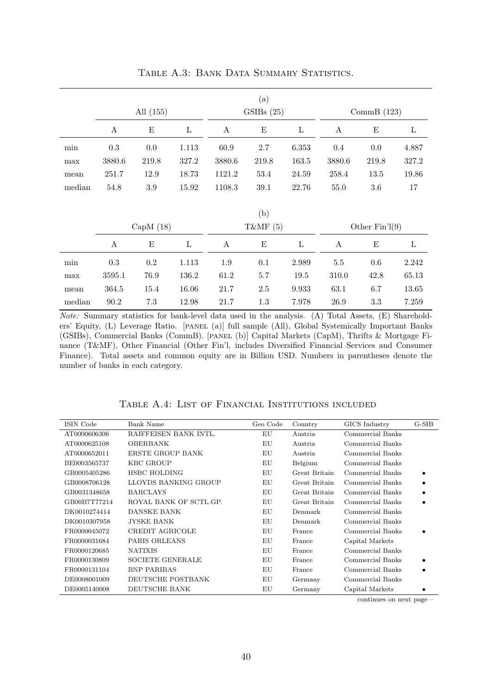<span id="page-40-1"></span>

|        |        | All (155)   |       |                  | (a)<br>GSIBs(25) |              |                  | CommB $(123)$    |         |
|--------|--------|-------------|-------|------------------|------------------|--------------|------------------|------------------|---------|
|        | A      | Ε           | L     | A                | E                | $\mathbf{L}$ | A                | Ε                | L       |
| min    | 0.3    | $0.0\,$     | 1.113 | 60.9             | $2.7\,$          | 6.353        | 0.4              | 0.0              | 4.887   |
| max    | 3880.6 | 219.8       | 327.2 | 3880.6           | 219.8            | 163.5        | 3880.6           | 219.8            | 327.2   |
| mean   | 251.7  | 12.9        | 18.73 | 1121.2           | 53.4             | 24.59        | 258.4            | 13.5             | 19.86   |
| median | 54.8   | $3.9\,$     | 15.92 | 1108.3           | 39.1             | 22.76        | 55.0             | 3.6              | $17\,$  |
|        |        | CapM $(18)$ |       |                  | (b)<br>T&MF (5)  |              |                  | Other $Fin'1(9)$ |         |
|        | A      | E           | L     | $\boldsymbol{A}$ | $\mathbf E$      | $\mathbf{L}$ | $\boldsymbol{A}$ | $\mathbf E$      | $\rm L$ |
| min    | 0.3    | 0.2         | 1.113 | 1.9              | 0.1              | 2.989        | $5.5\,$          | 0.6              | 2.242   |
| max    | 3595.1 | 76.9        | 136.2 | 61.2             | 5.7              | 19.5         | 310.0            | 42.8             | 65.13   |
| mean   | 364.5  | 15.4        | 16.06 | 21.7             | 2.5              | 9.933        | 63.1             | 6.7              | 13.65   |
| median | 90.2   | 7.3         | 12.98 | 21.7             | 1.3              | 7.978        | 26.9             | 3.3              | 7.259   |

TABLE A.3: BANK DATA SUMMARY STATISTICS.

Note: Summary statistics for bank-level data used in the analysis. (A) Total Assets, (E) Shareholders' Equity, (L) Leverage Ratio. [PANEL (a)] full sample (All), Global Systemically Important Banks (GSIBs), Commercial Banks (CommB). [panel (b)] Capital Markets (CapM), Thrifts & Mortgage Finance (T&MF), Other Financial (Other Fin'l, includes Diversified Financial Services and Consumer Finance). Total assets and common equity are in Billion USD. Numbers in parentheses denote the number of banks in each category.

<span id="page-40-0"></span>

| ISIN Code    | Bank Name               | Geo Code | Country       | GICS Industry    | G-SIB |
|--------------|-------------------------|----------|---------------|------------------|-------|
| AT0000606306 | RAIFFEISEN BANK INTL.   | EU       | Austria       | Commercial Banks |       |
| AT0000625108 | <b>OBERBANK</b>         | EU       | Austria       | Commercial Banks |       |
| AT0000652011 | ERSTE GROUP BANK        | EU       | Austria       | Commercial Banks |       |
| BE0003565737 | <b>KBC GROUP</b>        | EU       | Belgium       | Commercial Banks |       |
| GB0005405286 | <b>HSBC HOLDING</b>     | EU       | Great Britain | Commercial Banks |       |
| GB0008706128 | LLOYDS BANKING GROUP    | EU       | Great Britain | Commercial Banks |       |
| GB0031348658 | <b>BARCLAYS</b>         | EU       | Great Britain | Commercial Banks |       |
| GB00B7T77214 | ROYAL BANK OF SCTL.GP.  | EU       | Great Britain | Commercial Banks |       |
| DK0010274414 | DANSKE BANK             | ΕU       | Denmark       | Commercial Banks |       |
| DK0010307958 | <b>JYSKE BANK</b>       | EU       | Denmark       | Commercial Banks |       |
| FR0000045072 | CREDIT AGRICOLE         | EU       | France        | Commercial Banks |       |
| FR0000031684 | PARIS ORLEANS           | EU       | France        | Capital Markets  |       |
| FR0000120685 | <b>NATIXIS</b>          | EU       | France        | Commercial Banks |       |
| FR0000130809 | <b>SOCIETE GENERALE</b> | EU       | France        | Commercial Banks |       |
| FR0000131104 | <b>BNP PARIBAS</b>      | EU       | France        | Commercial Banks |       |
| DE0008001009 | DEUTSCHE POSTBANK       | EU       | Germany       | Commercial Banks |       |
| DE0005140008 | DEUTSCHE BANK           | EU       | Germany       | Capital Markets  |       |

Table A.4: List of Financial Institutions included

continues on next page –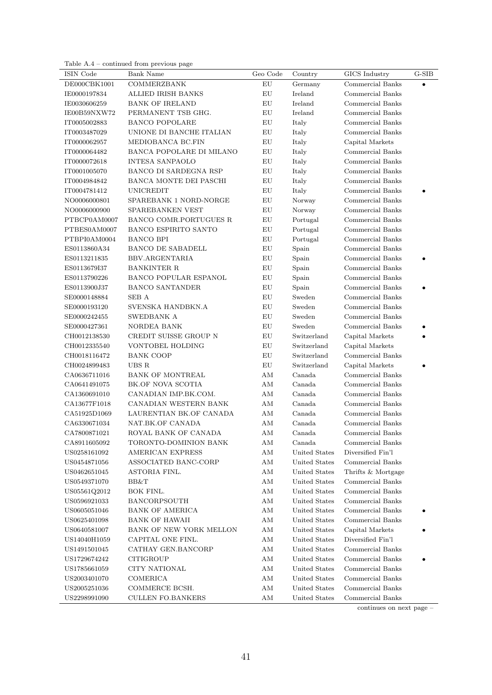Table A.4 – continued from previous page

| ISIN Code    | Bank Name                     | Geo Code      | Country       | GICS Industry      | $\operatorname{G-SIB}$ |
|--------------|-------------------------------|---------------|---------------|--------------------|------------------------|
| DE000CBK1001 | <b>COMMERZBANK</b>            | ${\rm EU}$    | Germany       | Commercial Banks   | $\bullet$              |
| IE0000197834 | <b>ALLIED IRISH BANKS</b>     | ${\rm EU}$    | Ireland       | Commercial Banks   |                        |
| IE0030606259 | <b>BANK OF IRELAND</b>        | ${\rm EU}$    | Ireland       | Commercial Banks   |                        |
| IE00B59NXW72 | PERMANENT TSB GHG.            | EU            | Ireland       | Commercial Banks   |                        |
| IT0005002883 | <b>BANCO POPOLARE</b>         | ${\rm EU}$    | Italy         | Commercial Banks   |                        |
| IT0003487029 | UNIONE DI BANCHE ITALIAN      | ${\rm EU}$    | Italy         | Commercial Banks   |                        |
| IT0000062957 | MEDIOBANCA BC.FIN             | ${\rm EU}$    | Italy         | Capital Markets    |                        |
| IT0000064482 | BANCA POPOLARE DI MILANO      | ${\rm EU}$    | Italy         | Commercial Banks   |                        |
| IT0000072618 | <b>INTESA SANPAOLO</b>        | ${\rm EU}$    | Italy         | Commercial Banks   |                        |
| IT0001005070 | BANCO DI SARDEGNA RSP         | EU            | Italy         | Commercial Banks   |                        |
| IT0004984842 | <b>BANCA MONTE DEI PASCHI</b> | EU            | Italy         | Commercial Banks   |                        |
| IT0004781412 | <b>UNICREDIT</b>              | ${\rm EU}$    | Italy         | Commercial Banks   |                        |
| NO0006000801 | SPAREBANK 1 NORD-NORGE        | ${\rm EU}$    | Norway        | Commercial Banks   |                        |
| NO0006000900 | SPAREBANKEN VEST              | ${\rm EU}$    | Norway        | Commercial Banks   |                        |
| PTBCP0AM0007 | BANCO COMR.PORTUGUES R        | ${\rm EU}$    | Portugal      | Commercial Banks   |                        |
| PTBES0AM0007 | <b>BANCO ESPIRITO SANTO</b>   | ${\rm EU}$    | Portugal      | Commercial Banks   |                        |
| PTBPI0AM0004 | <b>BANCO BPI</b>              | EU            | Portugal      | Commercial Banks   |                        |
| ES0113860A34 | <b>BANCO DE SABADELL</b>      | ${\rm EU}$    | Spain         | Commercial Banks   |                        |
| ES0113211835 | BBV.ARGENTARIA                | ${\rm EU}$    | Spain         | Commercial Banks   |                        |
| ES0113679I37 | <b>BANKINTER R</b>            | ${\rm EU}$    | Spain         | Commercial Banks   |                        |
| ES0113790226 | <b>BANCO POPULAR ESPANOL</b>  | ${\rm EU}$    | Spain         | Commercial Banks   |                        |
| ES0113900J37 | <b>BANCO SANTANDER</b>        | EU            | Spain         | Commercial Banks   |                        |
| SE0000148884 | SEB A                         | EU            | Sweden        | Commercial Banks   |                        |
| SE0000193120 | SVENSKA HANDBKN.A             | EU            | Sweden        | Commercial Banks   |                        |
| SE0000242455 | SWEDBANK A                    | ${\rm EU}$    | Sweden        | Commercial Banks   |                        |
| SE0000427361 | NORDEA BANK                   | ${\rm EU}$    | Sweden        | Commercial Banks   |                        |
| CH0012138530 | CREDIT SUISSE GROUP N         | ${\rm EU}$    | Switzerland   | Capital Markets    |                        |
| CH0012335540 | VONTOBEL HOLDING              | EU            | Switzerland   | Capital Markets    |                        |
| CH0018116472 | <b>BANK COOP</b>              | ${\rm EU}$    | Switzerland   | Commercial Banks   |                        |
| CH0024899483 | UBS R                         | ${\rm EU}$    | Switzerland   | Capital Markets    |                        |
| CA0636711016 | <b>BANK OF MONTREAL</b>       | $\mathrm{AM}$ | Canada        | Commercial Banks   |                        |
| CA0641491075 | BK.OF NOVA SCOTIA             | $\mathrm{AM}$ | Canada        | Commercial Banks   |                        |
| CA1360691010 | CANADIAN IMP.BK.COM.          | $\mathrm{AM}$ | Canada        | Commercial Banks   |                        |
| CA13677F1018 | CANADIAN WESTERN BANK         | AM            | Canada        | Commercial Banks   |                        |
| CA51925D1069 | LAURENTIAN BK.OF CANADA       | AM            | Canada        | Commercial Banks   |                        |
| CA6330671034 | NAT.BK.OF CANADA              | AM            | Canada        | Commercial Banks   |                        |
| CA7800871021 | ROYAL BANK OF CANADA          | AМ            | Canada        | Commercial Banks   |                        |
| CA8911605092 | TORONTO-DOMINION BANK         | $\rm AM$      | Canada        | Commercial Banks   |                        |
| US0258161092 | <b>AMERICAN EXPRESS</b>       | AM            | United States | Diversified Fin'l  |                        |
| US0454871056 | ASSOCIATED BANC-CORP          | AM            | United States | Commercial Banks   |                        |
| US0462651045 | ASTORIA FINL.                 | AM            | United States | Thrifts & Mortgage |                        |
| US0549371070 | BB&T                          | AM            | United States | Commercial Banks   |                        |
| US05561Q2012 | BOK FINL.                     | AM            | United States | Commercial Banks   |                        |
| US0596921033 | <b>BANCORPSOUTH</b>           | AM            | United States | Commercial Banks   |                        |
| US0605051046 | <b>BANK OF AMERICA</b>        | AM            | United States | Commercial Banks   |                        |
| US0625401098 | <b>BANK OF HAWAII</b>         | AM            | United States | Commercial Banks   |                        |
| US0640581007 | BANK OF NEW YORK MELLON       | ΑM            | United States | Capital Markets    |                        |
| US14040H1059 | CAPITAL ONE FINL.             | AM            | United States | Diversified Fin'l  |                        |
| US1491501045 | CATHAY GEN.BANCORP            | AM            | United States | Commercial Banks   |                        |
| US1729674242 | <b>CITIGROUP</b>              | $\rm AM$      | United States | Commercial Banks   |                        |
| US1785661059 | <b>CITY NATIONAL</b>          | $\mathrm{AM}$ | United States | Commercial Banks   |                        |
| US2003401070 | COMERICA                      | $\rm AM$      | United States | Commercial Banks   |                        |
| US2005251036 | COMMERCE BCSH.                | $\mathrm{AM}$ | United States | Commercial Banks   |                        |
| US2298991090 | <b>CULLEN FO.BANKERS</b>      | $\mathrm{AM}$ | United States | Commercial Banks   |                        |

continues on next page –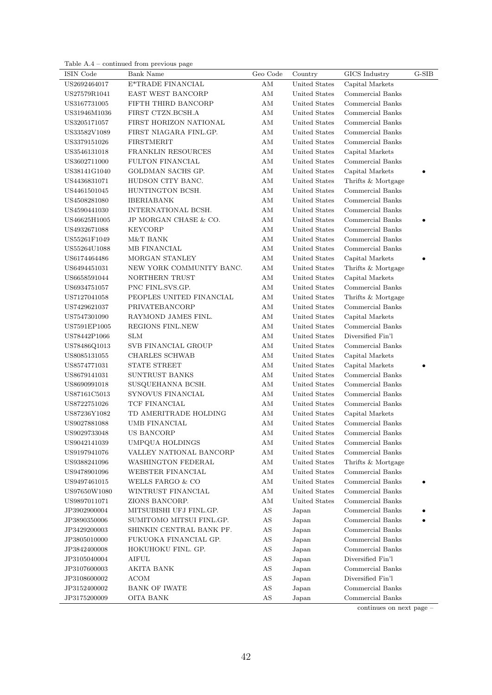|  | Table $A.4$ – continued from previous page |  |
|--|--------------------------------------------|--|
|  |                                            |  |
|  |                                            |  |
|  |                                            |  |
|  |                                            |  |
|  |                                            |  |

| ISIN Code    | Bank Name                | Geo Code               | Country       | GICS Industry      | $G-SIB$ |
|--------------|--------------------------|------------------------|---------------|--------------------|---------|
| US2692464017 | E*TRADE FINANCIAL        | ΑM                     | United States | Capital Markets    |         |
| US27579R1041 | EAST WEST BANCORP        | $\mathrm{AM}$          | United States | Commercial Banks   |         |
| US3167731005 | FIFTH THIRD BANCORP      | AM                     | United States | Commercial Banks   |         |
| US31946M1036 | FIRST CTZN.BCSH.A        | AМ                     | United States | Commercial Banks   |         |
| US3205171057 | FIRST HORIZON NATIONAL   | AM                     | United States | Commercial Banks   |         |
| US33582V1089 | FIRST NIAGARA FINL.GP.   | AM                     | United States | Commercial Banks   |         |
| US3379151026 | <b>FIRSTMERIT</b>        | AM                     | United States | Commercial Banks   |         |
| US3546131018 | FRANKLIN RESOURCES       | $\rm AM$               | United States | Capital Markets    |         |
| US3602711000 | <b>FULTON FINANCIAL</b>  | $\mathrm{AM}$          | United States | Commercial Banks   |         |
| US38141G1040 | GOLDMAN SACHS GP.        | $\mathrm{AM}$          | United States | Capital Markets    |         |
| US4436831071 | HUDSON CITY BANC.        | AM                     | United States | Thrifts & Mortgage |         |
| US4461501045 | HUNTINGTON BCSH.         | AM                     | United States | Commercial Banks   |         |
| US4508281080 | <b>IBERIABANK</b>        | AM                     | United States | Commercial Banks   |         |
| US4590441030 | INTERNATIONAL BCSH.      | AM                     | United States | Commercial Banks   |         |
| US46625H1005 | JP MORGAN CHASE & CO.    | AM                     | United States | Commercial Banks   |         |
| US4932671088 | <b>KEYCORP</b>           | AM                     | United States | Commercial Banks   |         |
| US55261F1049 | M&T BANK                 | AМ                     | United States | Commercial Banks   |         |
| US55264U1088 | MB FINANCIAL             | ΑM                     | United States | Commercial Banks   |         |
| US6174464486 | MORGAN STANLEY           | ΑM                     | United States | Capital Markets    |         |
| US6494451031 | NEW YORK COMMUNITY BANC. | AM                     | United States | Thrifts & Mortgage |         |
| US6658591044 | NORTHERN TRUST           | ΑM                     | United States | Capital Markets    |         |
| US6934751057 | PNC FINL.SVS.GP.         | AМ                     | United States | Commercial Banks   |         |
| US7127041058 | PEOPLES UNITED FINANCIAL | AM                     | United States | Thrifts & Mortgage |         |
| US7429621037 | PRIVATEBANCORP           | AM                     | United States | Commercial Banks   |         |
| US7547301090 | RAYMOND JAMES FINL.      | ΑM                     | United States | Capital Markets    |         |
| US7591EP1005 | REGIONS FINL.NEW         | AM                     | United States | Commercial Banks   |         |
| US78442P1066 | <b>SLM</b>               | $\mathrm{AM}$          | United States | Diversified Fin'l  |         |
| US78486Q1013 | SVB FINANCIAL GROUP      | $\mathrm{AM}$          | United States | Commercial Banks   |         |
| US8085131055 | <b>CHARLES SCHWAB</b>    | AM                     | United States | Capital Markets    |         |
| US8574771031 | STATE STREET             | AM                     | United States | Capital Markets    |         |
| US8679141031 | SUNTRUST BANKS           | AM                     | United States | Commercial Banks   |         |
| US8690991018 | SUSQUEHANNA BCSH.        | AM                     | United States | Commercial Banks   |         |
| US87161C5013 | SYNOVUS FINANCIAL        | AM                     | United States | Commercial Banks   |         |
| US8722751026 | TCF FINANCIAL            | AM                     | United States | Commercial Banks   |         |
| US87236Y1082 | TD AMERITRADE HOLDING    | AM                     | United States | Capital Markets    |         |
| US9027881088 | <b>UMB FINANCIAL</b>     | AM                     | United States | Commercial Banks   |         |
| US9029733048 | US BANCORP               | ΑM                     | United States | Commercial Banks   |         |
| US9042141039 | UMPQUA HOLDINGS          | AM                     | United States | Commercial Banks   |         |
| US9197941076 | VALLEY NATIONAL BANCORP  | $\mathrm{AM}$          | United States | Commercial Banks   |         |
| US9388241096 | WASHINGTON FEDERAL       | AM                     | United States | Thrifts & Mortgage |         |
| US9478901096 | WEBSTER FINANCIAL        | AM                     | United States | Commercial Banks   |         |
| US9497461015 | WELLS FARGO & CO         | AM                     | United States | Commercial Banks   |         |
| US97650W1080 | WINTRUST FINANCIAL       | AM                     | United States | Commercial Banks   |         |
| US9897011071 | ZIONS BANCORP.           | AM                     | United States | Commercial Banks   |         |
| JP3902900004 | MITSUBISHI UFJ FINL.GP.  | AS                     | Japan         | Commercial Banks   |         |
| JP3890350006 | SUMITOMO MITSUI FINL.GP. | AS                     | Japan         | Commercial Banks   |         |
| JP3429200003 | SHINKIN CENTRAL BANK PF. | $\mathbf{A}\mathbf{S}$ | Japan         | Commercial Banks   |         |
|              | FUKUOKA FINANCIAL GP.    |                        |               | Commercial Banks   |         |
| JP3805010000 |                          | $\mathbf{A}\mathbf{S}$ | Japan         |                    |         |
| JP3842400008 | HOKUHOKU FINL. GP.       | $\mathbf{A}\mathbf{S}$ | Japan         | Commercial Banks   |         |
| JP3105040004 | <b>AIFUL</b>             | $\mathbf{A}\mathbf{S}$ | Japan         | Diversified Fin'l  |         |
| JP3107600003 | AKITA BANK               | $\mathbf{A}\mathbf{S}$ | Japan         | Commercial Banks   |         |
| JP3108600002 | <b>ACOM</b>              | $\mathbf{A}\mathbf{S}$ | Japan         | Diversified Fin'l  |         |
| JP3152400002 | <b>BANK OF IWATE</b>     | $\mathbf{A}\mathbf{S}$ | Japan         | Commercial Banks   |         |
| JP3175200009 | <b>OITA BANK</b>         | $\mathbf{A}\mathbf{S}$ | Japan         | Commercial Banks   |         |

continues on next page –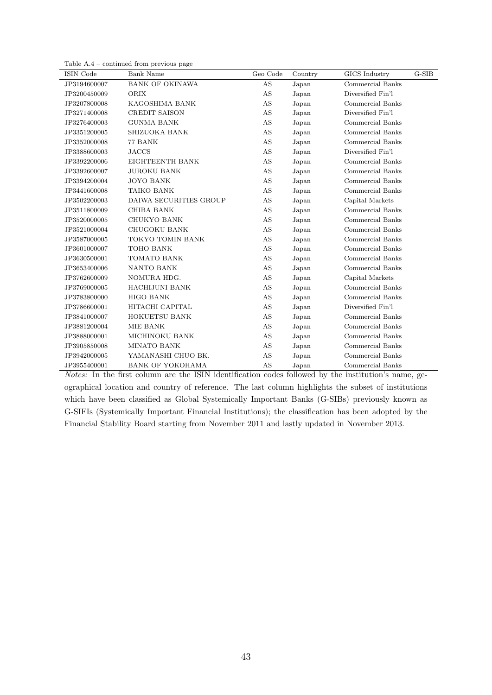| Table $A.4$ – continued from previous page |  |  |
|--------------------------------------------|--|--|
|--------------------------------------------|--|--|

| ISIN Code    | <b>Bank Name</b>        | Geo Code | Country | GICS Industry     | $G-SIB$ |
|--------------|-------------------------|----------|---------|-------------------|---------|
| JP3194600007 | <b>BANK OF OKINAWA</b>  | AS       | Japan   | Commercial Banks  |         |
| JP3200450009 | ORIX                    | AS       | Japan   | Diversified Fin'l |         |
| JP3207800008 | KAGOSHIMA BANK          | AS       | Japan   | Commercial Banks  |         |
| JP3271400008 | CREDIT SAISON           | AS       | Japan   | Diversified Fin'l |         |
| JP3276400003 | <b>GUNMA BANK</b>       | AS       | Japan   | Commercial Banks  |         |
| JP3351200005 | SHIZUOKA BANK           | AS       | Japan   | Commercial Banks  |         |
| JP3352000008 | 77 BANK                 | AS       | Japan   | Commercial Banks  |         |
| JP3388600003 | <b>JACCS</b>            | AS       | Japan   | Diversified Fin'l |         |
| JP3392200006 | EIGHTEENTH BANK         | AS       | Japan   | Commercial Banks  |         |
| JP3392600007 | <b>JUROKU BANK</b>      | AS       | Japan   | Commercial Banks  |         |
| JP3394200004 | <b>JOYO BANK</b>        | AS       | Japan   | Commercial Banks  |         |
| JP3441600008 | TAIKO BANK              | AS       | Japan   | Commercial Banks  |         |
| JP3502200003 | DAIWA SECURITIES GROUP  | AS       | Japan   | Capital Markets   |         |
| JP3511800009 | <b>CHIBA BANK</b>       | AS       | Japan   | Commercial Banks  |         |
| JP3520000005 | CHUKYO BANK             | AS       | Japan   | Commercial Banks  |         |
| JP3521000004 | CHUGOKU BANK            | AS       | Japan   | Commercial Banks  |         |
| JP3587000005 | TOKYO TOMIN BANK        | AS       | Japan   | Commercial Banks  |         |
| JP3601000007 | TOHO BANK               | AS       | Japan   | Commercial Banks  |         |
| JP3630500001 | TOMATO BANK             | AS       | Japan   | Commercial Banks  |         |
| JP3653400006 | NANTO BANK              | AS       | Japan   | Commercial Banks  |         |
| JP3762600009 | NOMURA HDG.             | AS       | Japan   | Capital Markets   |         |
| JP3769000005 | <b>HACHIJUNI BANK</b>   | AS       | Japan   | Commercial Banks  |         |
| JP3783800000 | <b>HIGO BANK</b>        | AS       | Japan   | Commercial Banks  |         |
| JP3786600001 | HITACHI CAPITAL         | AS       | Japan   | Diversified Fin'l |         |
| JP3841000007 | HOKUETSU BANK           | AS       | Japan   | Commercial Banks  |         |
| JP3881200004 | MIE BANK                | AS       | Japan   | Commercial Banks  |         |
| JP3888000001 | MICHINOKU BANK          | AS       | Japan   | Commercial Banks  |         |
| JP3905850008 | <b>MINATO BANK</b>      | AS       | Japan   | Commercial Banks  |         |
| JP3942000005 | YAMANASHI CHUO BK.      | AS       | Japan   | Commercial Banks  |         |
| JP3955400001 | <b>BANK OF YOKOHAMA</b> | AS       | Japan   | Commercial Banks  |         |

Notes: In the first column are the ISIN identification codes followed by the institution's name, geographical location and country of reference. The last column highlights the subset of institutions which have been classified as Global Systemically Important Banks (G-SIBs) previously known as G-SIFIs (Systemically Important Financial Institutions); the classification has been adopted by the Financial Stability Board starting from November 2011 and lastly updated in November 2013.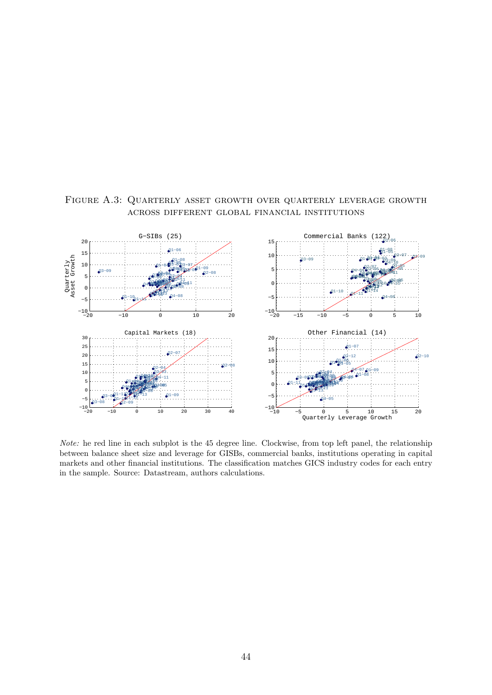

<span id="page-44-0"></span>Figure A.3: Quarterly asset growth over quarterly leverage growth across different global financial institutions

Note: he red line in each subplot is the 45 degree line. Clockwise, from top left panel, the relationship between balance sheet size and leverage for GISBs, commercial banks, institutions operating in capital markets and other financial institutions. The classification matches GICS industry codes for each entry in the sample. Source: Datastream, authors calculations.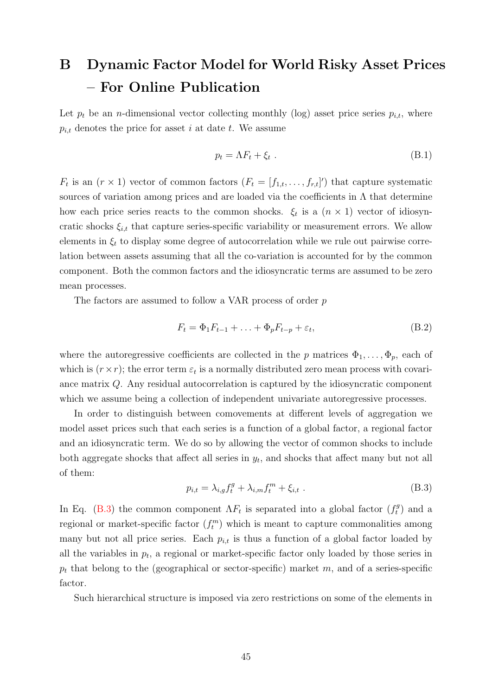# <span id="page-45-0"></span>B Dynamic Factor Model for World Risky Asset Prices – For Online Publication

Let  $p_t$  be an *n*-dimensional vector collecting monthly (log) asset price series  $p_{i,t}$ , where  $p_{i,t}$  denotes the price for asset i at date t. We assume

<span id="page-45-2"></span>
$$
p_t = \Lambda F_t + \xi_t \tag{B.1}
$$

 $F_t$  is an  $(r \times 1)$  vector of common factors  $(F_t = [f_{1,t}, \ldots, f_{r,t}])$  that capture systematic sources of variation among prices and are loaded via the coefficients in  $\Lambda$  that determine how each price series reacts to the common shocks.  $\xi_t$  is a  $(n \times 1)$  vector of idiosyncratic shocks  $\xi_{i,t}$  that capture series-specific variability or measurement errors. We allow elements in  $\xi_t$  to display some degree of autocorrelation while we rule out pairwise correlation between assets assuming that all the co-variation is accounted for by the common component. Both the common factors and the idiosyncratic terms are assumed to be zero mean processes.

The factors are assumed to follow a VAR process of order p

<span id="page-45-3"></span>
$$
F_t = \Phi_1 F_{t-1} + \ldots + \Phi_p F_{t-p} + \varepsilon_t, \tag{B.2}
$$

where the autoregressive coefficients are collected in the p matrices  $\Phi_1, \ldots, \Phi_p$ , each of which is  $(r \times r)$ ; the error term  $\varepsilon_t$  is a normally distributed zero mean process with covariance matrix Q. Any residual autocorrelation is captured by the idiosyncratic component which we assume being a collection of independent univariate autoregressive processes.

In order to distinguish between comovements at different levels of aggregation we model asset prices such that each series is a function of a global factor, a regional factor and an idiosyncratic term. We do so by allowing the vector of common shocks to include both aggregate shocks that affect all series in  $y_t$ , and shocks that affect many but not all of them:

<span id="page-45-1"></span>
$$
p_{i,t} = \lambda_{i,g} f_t^g + \lambda_{i,m} f_t^m + \xi_{i,t} . \tag{B.3}
$$

In Eq. [\(B.3\)](#page-45-1) the common component  $\Lambda F_t$  is separated into a global factor  $(f_t^g)$  $\binom{g}{t}$  and a regional or market-specific factor  $(f_t^m)$  which is meant to capture commonalities among many but not all price series. Each  $p_{i,t}$  is thus a function of a global factor loaded by all the variables in  $p_t$ , a regional or market-specific factor only loaded by those series in  $p_t$  that belong to the (geographical or sector-specific) market m, and of a series-specific factor.

Such hierarchical structure is imposed via zero restrictions on some of the elements in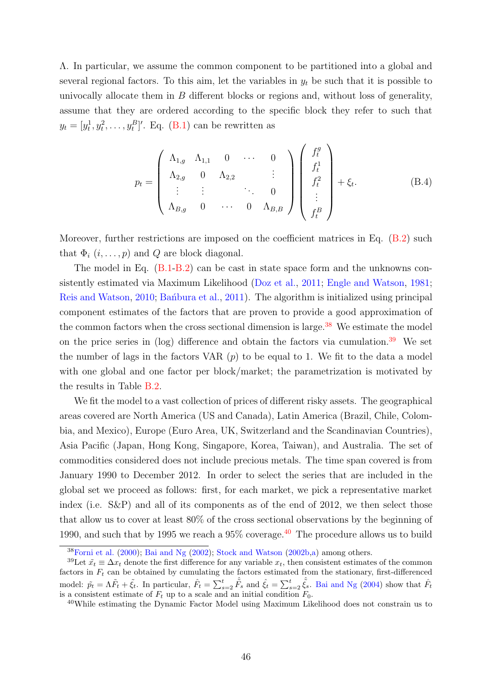Λ. In particular, we assume the common component to be partitioned into a global and several regional factors. To this aim, let the variables in  $y_t$  be such that it is possible to univocally allocate them in  $B$  different blocks or regions and, without loss of generality, assume that they are ordered according to the specific block they refer to such that  $y_t = [y_t^1, y_t^2, \dots, y_t^B]'$ . Eq. [\(B.1\)](#page-45-2) can be rewritten as

$$
p_{t} = \begin{pmatrix} \Lambda_{1,g} & \Lambda_{1,1} & 0 & \cdots & 0 \\ \Lambda_{2,g} & 0 & \Lambda_{2,2} & & \vdots \\ \vdots & \vdots & & \ddots & 0 \\ \Lambda_{B,g} & 0 & \cdots & 0 & \Lambda_{B,B} \end{pmatrix} \begin{pmatrix} f_{t}^{g} \\ f_{t}^{1} \\ f_{t}^{2} \\ \vdots \\ f_{t}^{B} \end{pmatrix} + \xi_{t}.
$$
 (B.4)

Moreover, further restrictions are imposed on the coefficient matrices in Eq.  $(B.2)$  such that  $\Phi_i$   $(i, \ldots, p)$  and Q are block diagonal.

The model in Eq. [\(B.1](#page-45-2)[-B.2\)](#page-45-3) can be cast in state space form and the unknowns consistently estimated via Maximum Likelihood [\(Doz et al.,](#page-32-13) [2011;](#page-32-13) [Engle and Watson,](#page-32-14) [1981;](#page-32-14) [Reis and Watson,](#page-34-12) [2010;](#page-34-12) Banbura et al., [2011\)](#page-31-15). The algorithm is initialized using principal component estimates of the factors that are proven to provide a good approximation of the common factors when the cross sectional dimension is large.<sup>[38](#page-46-0)</sup> We estimate the model on the price series in (log) difference and obtain the factors via cumulation.<sup>[39](#page-46-1)</sup> We set the number of lags in the factors VAR  $(p)$  to be equal to 1. We fit to the data a model with one global and one factor per block/market; the parametrization is motivated by the results in Table [B.2.](#page-48-0)

We fit the model to a vast collection of prices of different risky assets. The geographical areas covered are North America (US and Canada), Latin America (Brazil, Chile, Colombia, and Mexico), Europe (Euro Area, UK, Switzerland and the Scandinavian Countries), Asia Pacific (Japan, Hong Kong, Singapore, Korea, Taiwan), and Australia. The set of commodities considered does not include precious metals. The time span covered is from January 1990 to December 2012. In order to select the series that are included in the global set we proceed as follows: first, for each market, we pick a representative market index (i.e. S&P) and all of its components as of the end of 2012, we then select those that allow us to cover at least 80% of the cross sectional observations by the beginning of 1990, and such that by 1995 we reach a  $95\%$  coverage.<sup>[40](#page-46-2)</sup> The procedure allows us to build

<span id="page-46-1"></span><span id="page-46-0"></span> $38$ [Forni et al.](#page-32-6) [\(2000\)](#page-32-6); [Bai and Ng](#page-31-9) [\(2002\)](#page-31-9); [Stock and Watson](#page-35-3) [\(2002b,](#page-35-3)[a\)](#page-35-2) among others.

<sup>&</sup>lt;sup>39</sup>Let  $\tilde{x}_t \equiv \Delta x_t$  denote the first difference for any variable  $x_t$ , then consistent estimates of the common factors in  $F_t$  can be obtained by cumulating the factors estimated from the stationary, first-differenced model:  $\tilde{p}_t = \Lambda \tilde{F}_t + \tilde{\xi}_t$ . In particular,  $\hat{F}_t = \sum_{s=2}^t \hat{\tilde{F}}_s$  and  $\hat{\xi}_t = \sum_{s=2}^t \hat{\tilde{\xi}}_s$ . [Bai and Ng](#page-31-10) [\(2004\)](#page-31-10) show that  $\hat{F}_t$ is a consistent estimate of  $F_t$  up to a scale and an initial condition  $F_0$ .

<span id="page-46-2"></span><sup>40</sup>While estimating the Dynamic Factor Model using Maximum Likelihood does not constrain us to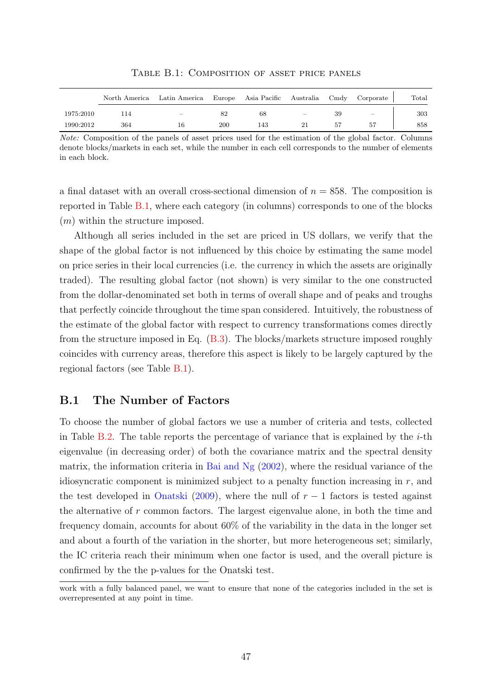<span id="page-47-0"></span>

|           |     | North America Latin America Europe Asia Pacific Australia Cmdy Corporate |     |     |    |    |                          | $\text{Total}$ |
|-----------|-----|--------------------------------------------------------------------------|-----|-----|----|----|--------------------------|----------------|
| 1975:2010 |     | $\equiv$                                                                 |     | 68  | -  | 39 | $\overline{\phantom{0}}$ | 303            |
| 1990:2012 | 364 | 16                                                                       | 200 | 143 | 21 | 57 | 57                       | 858            |

Table B.1: Composition of asset price panels

Note: Composition of the panels of asset prices used for the estimation of the global factor. Columns denote blocks/markets in each set, while the number in each cell corresponds to the number of elements in each block.

a final dataset with an overall cross-sectional dimension of  $n = 858$ . The composition is reported in Table [B.1,](#page-47-0) where each category (in columns) corresponds to one of the blocks  $(m)$  within the structure imposed.

Although all series included in the set are priced in US dollars, we verify that the shape of the global factor is not influenced by this choice by estimating the same model on price series in their local currencies (i.e. the currency in which the assets are originally traded). The resulting global factor (not shown) is very similar to the one constructed from the dollar-denominated set both in terms of overall shape and of peaks and troughs that perfectly coincide throughout the time span considered. Intuitively, the robustness of the estimate of the global factor with respect to currency transformations comes directly from the structure imposed in Eq. [\(B.3\)](#page-45-1). The blocks/markets structure imposed roughly coincides with currency areas, therefore this aspect is likely to be largely captured by the regional factors (see Table [B.1\)](#page-47-0).

#### B.1 The Number of Factors

To choose the number of global factors we use a number of criteria and tests, collected in Table [B.2.](#page-48-0) The table reports the percentage of variance that is explained by the  $i$ -th eigenvalue (in decreasing order) of both the covariance matrix and the spectral density matrix, the information criteria in [Bai and Ng](#page-31-9)  $(2002)$ , where the residual variance of the idiosyncratic component is minimized subject to a penalty function increasing in  $r$ , and the test developed in [Onatski](#page-34-13) [\(2009\)](#page-34-13), where the null of  $r-1$  factors is tested against the alternative of r common factors. The largest eigenvalue alone, in both the time and frequency domain, accounts for about 60% of the variability in the data in the longer set and about a fourth of the variation in the shorter, but more heterogeneous set; similarly, the IC criteria reach their minimum when one factor is used, and the overall picture is confirmed by the the p-values for the Onatski test.

work with a fully balanced panel, we want to ensure that none of the categories included in the set is overrepresented at any point in time.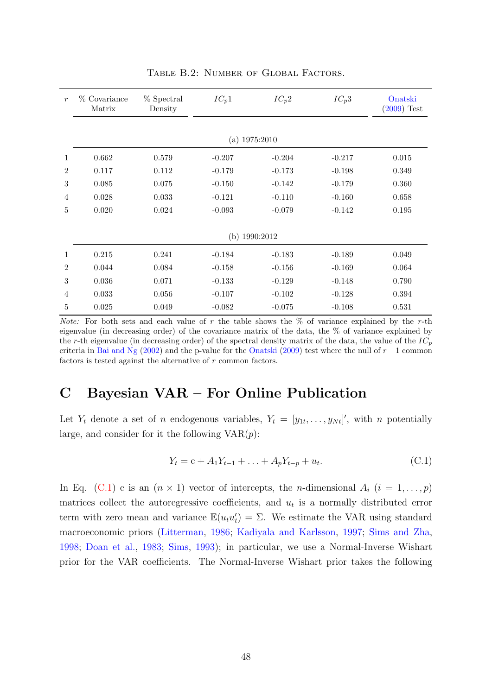<span id="page-48-0"></span>

| $\boldsymbol{r}$ | % Covariance<br>Matrix | % Spectral<br>Density | $IC_p1$  | $IC_p2$  | $IC_p3$  | Onatski<br>$(2009)$ Test |
|------------------|------------------------|-----------------------|----------|----------|----------|--------------------------|
|                  |                        |                       |          |          |          |                          |
| (a) $1975:2010$  |                        |                       |          |          |          |                          |
| $\mathbf{1}$     | 0.662                  | 0.579                 | $-0.207$ | $-0.204$ | $-0.217$ | 0.015                    |
| $\overline{2}$   | 0.117                  | 0.112                 | $-0.179$ | $-0.173$ | $-0.198$ | 0.349                    |
| 3                | 0.085                  | 0.075                 | $-0.150$ | $-0.142$ | $-0.179$ | 0.360                    |
| $\overline{4}$   | 0.028                  | 0.033                 | $-0.121$ | $-0.110$ | $-0.160$ | 0.658                    |
| 5                | 0.020                  | 0.024                 | $-0.093$ | $-0.079$ | $-0.142$ | 0.195                    |
|                  |                        |                       |          |          |          |                          |
|                  | (b) $1990:2012$        |                       |          |          |          |                          |
| $\mathbf{1}$     | 0.215                  | 0.241                 | $-0.184$ | $-0.183$ | $-0.189$ | 0.049                    |
| $\overline{2}$   | 0.044                  | 0.084                 | $-0.158$ | $-0.156$ | $-0.169$ | 0.064                    |
| 3                | 0.036                  | 0.071                 | $-0.133$ | $-0.129$ | $-0.148$ | 0.790                    |
| 4                | 0.033                  | 0.056                 | $-0.107$ | $-0.102$ | $-0.128$ | 0.394                    |
| $\overline{5}$   | 0.025                  | 0.049                 | $-0.082$ | $-0.075$ | $-0.108$ | 0.531                    |

TABLE B.2: NUMBER OF GLOBAL FACTORS.

*Note:* For both sets and each value of r the table shows the  $\%$  of variance explained by the r-th eigenvalue (in decreasing order) of the covariance matrix of the data, the % of variance explained by the r-th eigenvalue (in decreasing order) of the spectral density matrix of the data, the value of the  $IC_p$ criteria in [Bai and Ng](#page-31-9) [\(2002\)](#page-31-9) and the p-value for the [Onatski](#page-34-13) [\(2009\)](#page-34-13) test where the null of  $r - 1$  common factors is tested against the alternative of r common factors.

### C Bayesian VAR – For Online Publication

Let  $Y_t$  denote a set of *n* endogenous variables,  $Y_t = [y_{1t}, \ldots, y_{Nt}]'$ , with *n* potentially large, and consider for it the following  $VAR(p)$ :

<span id="page-48-1"></span>
$$
Y_t = c + A_1 Y_{t-1} + \ldots + A_p Y_{t-p} + u_t.
$$
 (C.1)

In Eq. [\(C.1\)](#page-48-1) c is an  $(n \times 1)$  vector of intercepts, the *n*-dimensional  $A_i$   $(i = 1, \ldots, p)$ matrices collect the autoregressive coefficients, and  $u_t$  is a normally distributed error term with zero mean and variance  $\mathbb{E}(u_t u_t') = \Sigma$ . We estimate the VAR using standard macroeconomic priors [\(Litterman,](#page-34-14) [1986;](#page-34-14) [Kadiyala and Karlsson,](#page-33-15) [1997;](#page-33-15) [Sims and Zha,](#page-35-12) [1998;](#page-35-12) [Doan et al.,](#page-32-15) [1983;](#page-32-15) [Sims,](#page-35-13) [1993\)](#page-35-13); in particular, we use a Normal-Inverse Wishart prior for the VAR coefficients. The Normal-Inverse Wishart prior takes the following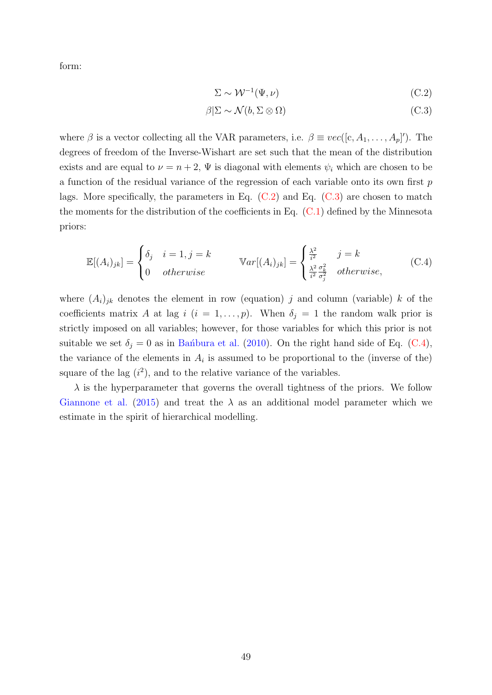form:

<span id="page-49-1"></span><span id="page-49-0"></span>
$$
\Sigma \sim \mathcal{W}^{-1}(\Psi, \nu) \tag{C.2}
$$

<span id="page-49-2"></span>
$$
\beta|\Sigma \sim \mathcal{N}(b, \Sigma \otimes \Omega) \tag{C.3}
$$

where  $\beta$  is a vector collecting all the VAR parameters, i.e.  $\beta \equiv vec([c, A_1, \ldots, A_p])$ . The degrees of freedom of the Inverse-Wishart are set such that the mean of the distribution exists and are equal to  $\nu = n + 2$ ,  $\Psi$  is diagonal with elements  $\psi_i$  which are chosen to be a function of the residual variance of the regression of each variable onto its own first  $p$ lags. More specifically, the parameters in Eq.  $(C.2)$  and Eq.  $(C.3)$  are chosen to match the moments for the distribution of the coefficients in Eq.  $(C.1)$  defined by the Minnesota priors:

$$
\mathbb{E}[(A_i)_{jk}] = \begin{cases} \delta_j & i = 1, j = k \\ 0 & otherwise \end{cases} \qquad \mathbb{V}ar[(A_i)_{jk}] = \begin{cases} \frac{\lambda^2}{i^2} & j = k \\ \frac{\lambda^2}{i^2} \frac{\sigma_k^2}{\sigma_j^2} & otherwise, \end{cases} \tag{C.4}
$$

where  $(A_i)_{jk}$  denotes the element in row (equation) j and column (variable) k of the coefficients matrix A at lag i  $(i = 1, \ldots, p)$ . When  $\delta_j = 1$  the random walk prior is strictly imposed on all variables; however, for those variables for which this prior is not suitable we set  $\delta_i = 0$  as in Ban´bura et al. [\(2010\)](#page-31-11). On the right hand side of Eq. [\(C.4\)](#page-49-2), the variance of the elements in  $A_i$  is assumed to be proportional to the (inverse of the) square of the lag  $(i^2)$ , and to the relative variance of the variables.

 $\lambda$  is the hyperparameter that governs the overall tightness of the priors. We follow [Giannone et al.](#page-33-16) [\(2015\)](#page-33-16) and treat the  $\lambda$  as an additional model parameter which we estimate in the spirit of hierarchical modelling.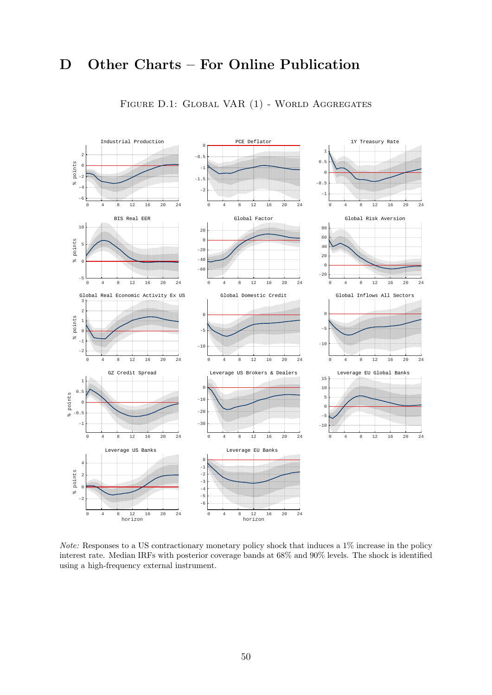# <span id="page-50-0"></span>D Other Charts – For Online Publication



FIGURE D.1: GLOBAL VAR (1) - WORLD AGGREGATES

Note: Responses to a US contractionary monetary policy shock that induces a 1% increase in the policy interest rate. Median IRFs with posterior coverage bands at 68% and 90% levels. The shock is identified using a high-frequency external instrument.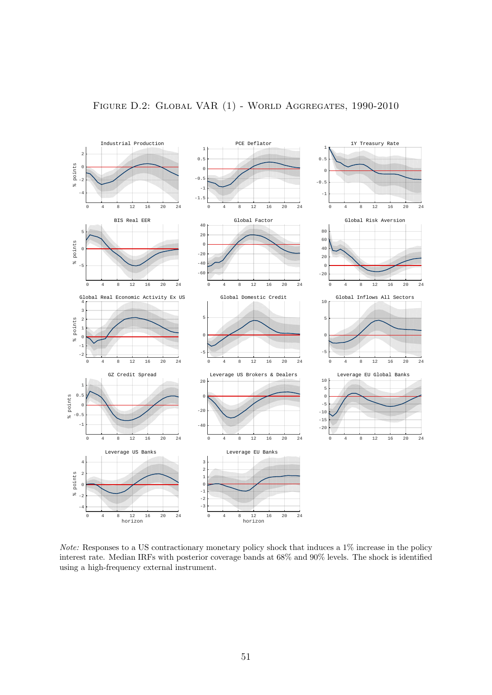<span id="page-51-0"></span>

Note: Responses to a US contractionary monetary policy shock that induces a 1% increase in the policy interest rate. Median IRFs with posterior coverage bands at 68% and 90% levels. The shock is identified using a high-frequency external instrument.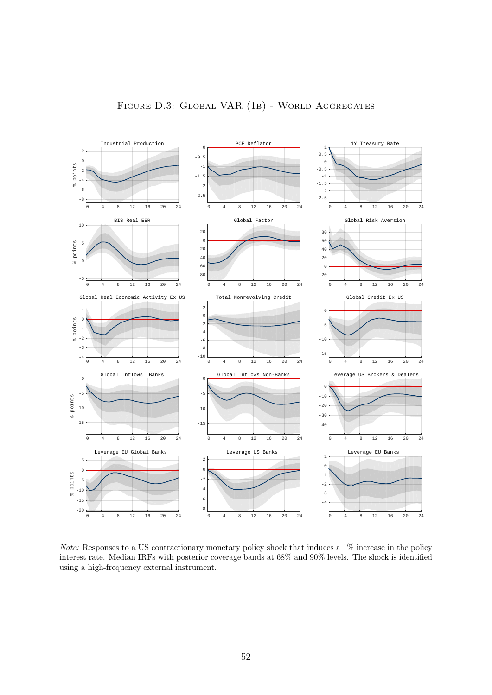<span id="page-52-0"></span>![](_page_52_Figure_0.jpeg)

Note: Responses to a US contractionary monetary policy shock that induces a 1% increase in the policy interest rate. Median IRFs with posterior coverage bands at 68% and 90% levels. The shock is identified using a high-frequency external instrument.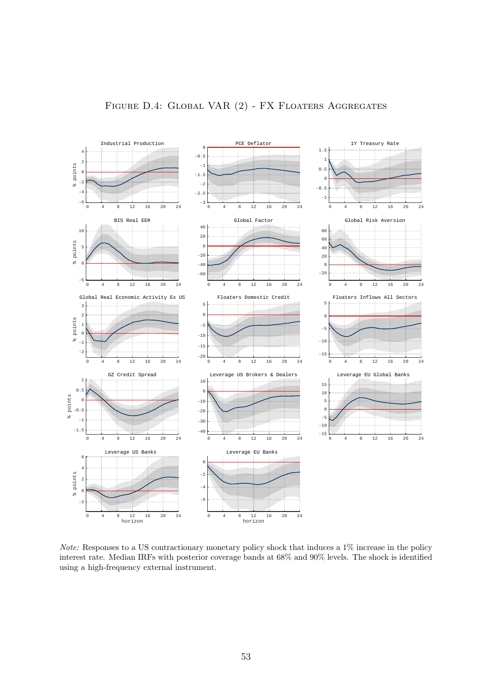<span id="page-53-0"></span>![](_page_53_Figure_0.jpeg)

![](_page_53_Figure_1.jpeg)

Note: Responses to a US contractionary monetary policy shock that induces a 1% increase in the policy interest rate. Median IRFs with posterior coverage bands at 68% and 90% levels. The shock is identified using a high-frequency external instrument.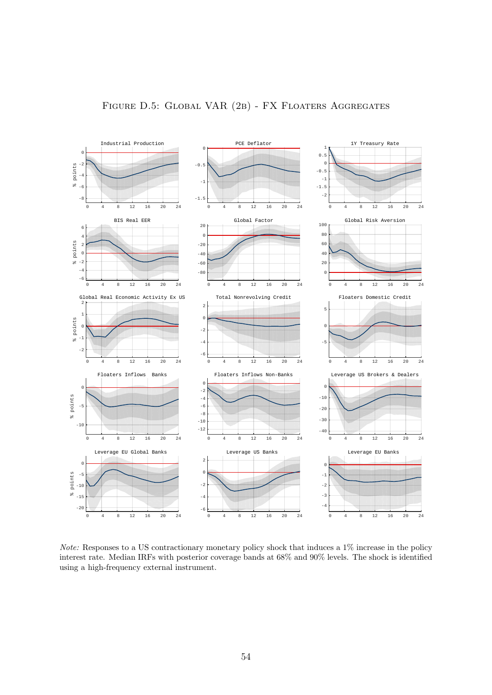<span id="page-54-0"></span>![](_page_54_Figure_0.jpeg)

![](_page_54_Figure_1.jpeg)

Note: Responses to a US contractionary monetary policy shock that induces a 1% increase in the policy interest rate. Median IRFs with posterior coverage bands at 68% and 90% levels. The shock is identified using a high-frequency external instrument.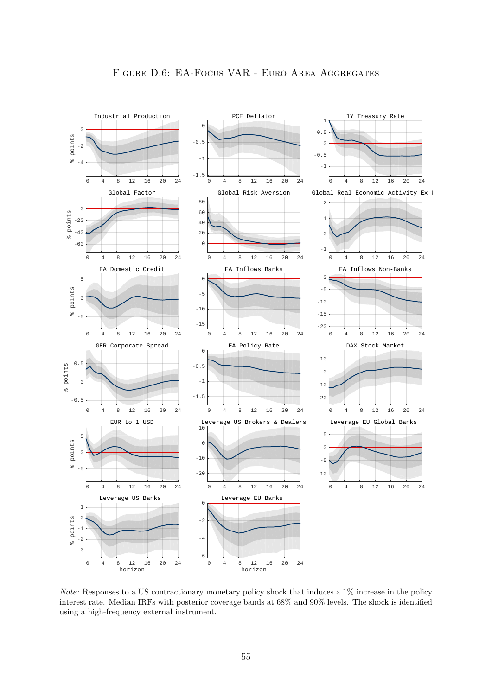<span id="page-55-0"></span>![](_page_55_Figure_0.jpeg)

Note: Responses to a US contractionary monetary policy shock that induces a 1% increase in the policy interest rate. Median IRFs with posterior coverage bands at 68% and 90% levels. The shock is identified using a high-frequency external instrument.